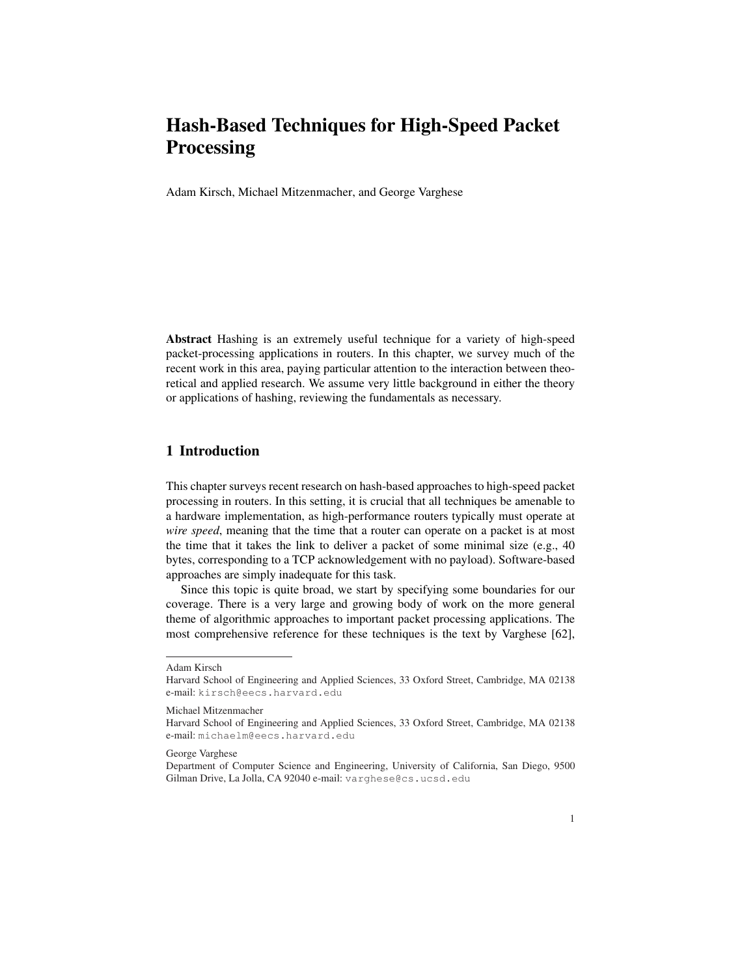# Hash-Based Techniques for High-Speed Packet **Processing**

Adam Kirsch, Michael Mitzenmacher, and George Varghese

Abstract Hashing is an extremely useful technique for a variety of high-speed packet-processing applications in routers. In this chapter, we survey much of the recent work in this area, paying particular attention to the interaction between theoretical and applied research. We assume very little background in either the theory or applications of hashing, reviewing the fundamentals as necessary.

## 1 Introduction

This chapter surveys recent research on hash-based approaches to high-speed packet processing in routers. In this setting, it is crucial that all techniques be amenable to a hardware implementation, as high-performance routers typically must operate at *wire speed*, meaning that the time that a router can operate on a packet is at most the time that it takes the link to deliver a packet of some minimal size (e.g., 40 bytes, corresponding to a TCP acknowledgement with no payload). Software-based approaches are simply inadequate for this task.

Since this topic is quite broad, we start by specifying some boundaries for our coverage. There is a very large and growing body of work on the more general theme of algorithmic approaches to important packet processing applications. The most comprehensive reference for these techniques is the text by Varghese [62],

Adam Kirsch

Harvard School of Engineering and Applied Sciences, 33 Oxford Street, Cambridge, MA 02138 e-mail: kirsch@eecs.harvard.edu

Michael Mitzenmacher

Harvard School of Engineering and Applied Sciences, 33 Oxford Street, Cambridge, MA 02138 e-mail: michaelm@eecs.harvard.edu

George Varghese

Department of Computer Science and Engineering, University of California, San Diego, 9500 Gilman Drive, La Jolla, CA 92040 e-mail: varghese@cs.ucsd.edu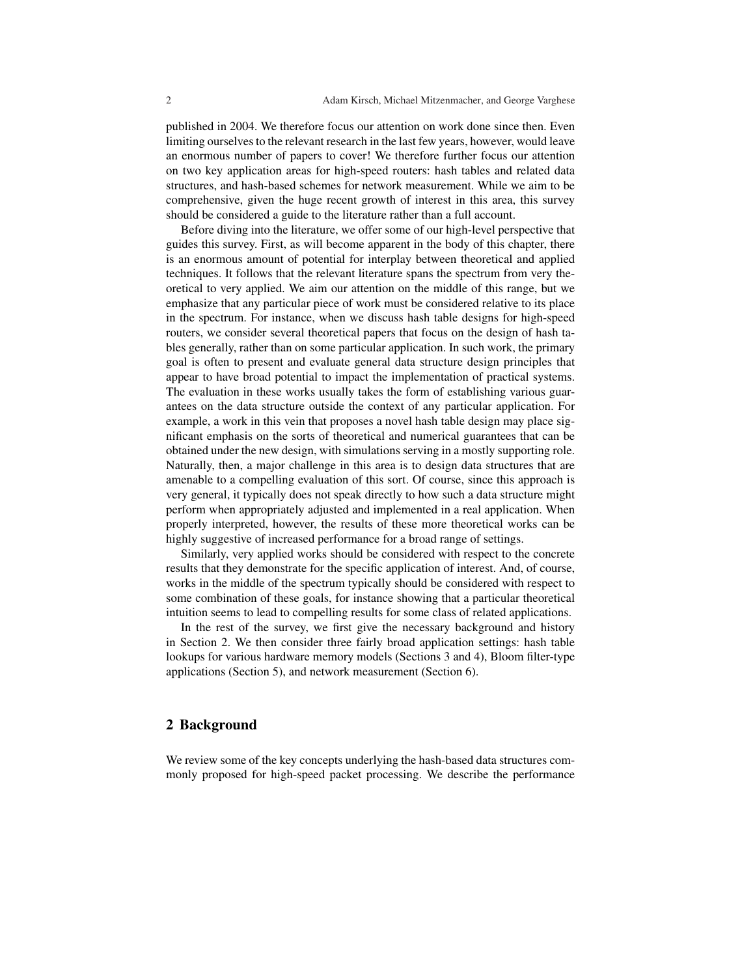published in 2004. We therefore focus our attention on work done since then. Even limiting ourselves to the relevant research in the last few years, however, would leave an enormous number of papers to cover! We therefore further focus our attention on two key application areas for high-speed routers: hash tables and related data structures, and hash-based schemes for network measurement. While we aim to be comprehensive, given the huge recent growth of interest in this area, this survey should be considered a guide to the literature rather than a full account.

Before diving into the literature, we offer some of our high-level perspective that guides this survey. First, as will become apparent in the body of this chapter, there is an enormous amount of potential for interplay between theoretical and applied techniques. It follows that the relevant literature spans the spectrum from very theoretical to very applied. We aim our attention on the middle of this range, but we emphasize that any particular piece of work must be considered relative to its place in the spectrum. For instance, when we discuss hash table designs for high-speed routers, we consider several theoretical papers that focus on the design of hash tables generally, rather than on some particular application. In such work, the primary goal is often to present and evaluate general data structure design principles that appear to have broad potential to impact the implementation of practical systems. The evaluation in these works usually takes the form of establishing various guarantees on the data structure outside the context of any particular application. For example, a work in this vein that proposes a novel hash table design may place significant emphasis on the sorts of theoretical and numerical guarantees that can be obtained under the new design, with simulations serving in a mostly supporting role. Naturally, then, a major challenge in this area is to design data structures that are amenable to a compelling evaluation of this sort. Of course, since this approach is very general, it typically does not speak directly to how such a data structure might perform when appropriately adjusted and implemented in a real application. When properly interpreted, however, the results of these more theoretical works can be highly suggestive of increased performance for a broad range of settings.

Similarly, very applied works should be considered with respect to the concrete results that they demonstrate for the specific application of interest. And, of course, works in the middle of the spectrum typically should be considered with respect to some combination of these goals, for instance showing that a particular theoretical intuition seems to lead to compelling results for some class of related applications.

In the rest of the survey, we first give the necessary background and history in Section 2. We then consider three fairly broad application settings: hash table lookups for various hardware memory models (Sections 3 and 4), Bloom filter-type applications (Section 5), and network measurement (Section 6).

#### 2 Background

We review some of the key concepts underlying the hash-based data structures commonly proposed for high-speed packet processing. We describe the performance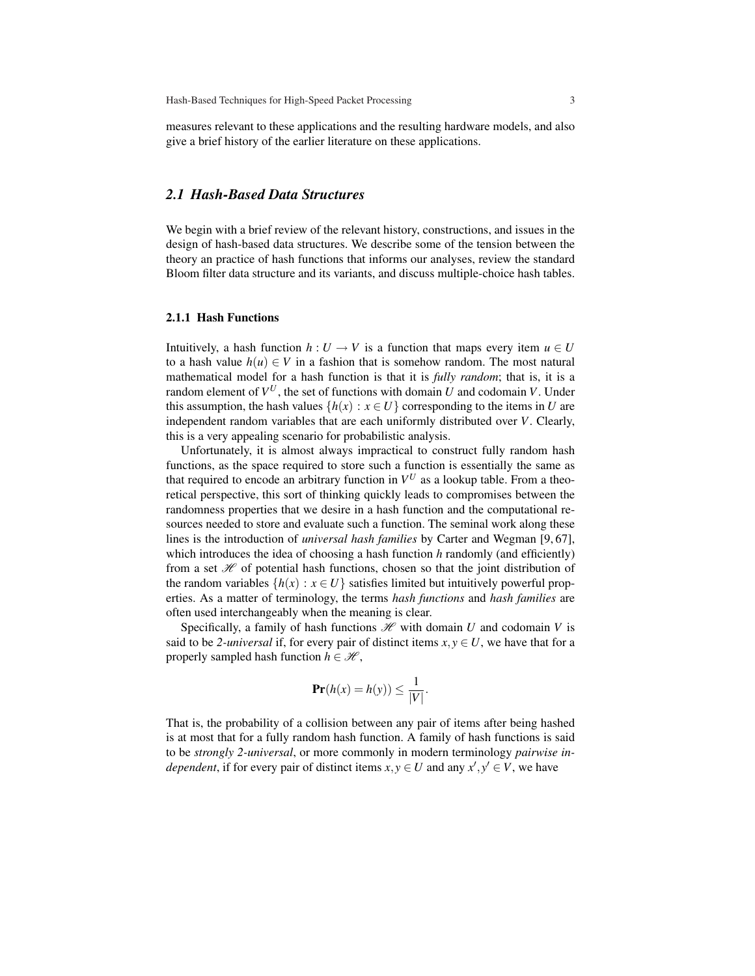measures relevant to these applications and the resulting hardware models, and also give a brief history of the earlier literature on these applications.

### *2.1 Hash-Based Data Structures*

We begin with a brief review of the relevant history, constructions, and issues in the design of hash-based data structures. We describe some of the tension between the theory an practice of hash functions that informs our analyses, review the standard Bloom filter data structure and its variants, and discuss multiple-choice hash tables.

#### 2.1.1 Hash Functions

Intuitively, a hash function  $h: U \to V$  is a function that maps every item  $u \in U$ to a hash value  $h(u) \in V$  in a fashion that is somehow random. The most natural mathematical model for a hash function is that it is *fully random*; that is, it is a random element of  $V^U$ , the set of functions with domain *U* and codomain *V*. Under this assumption, the hash values  $\{h(x) : x \in U\}$  corresponding to the items in *U* are independent random variables that are each uniformly distributed over *V*. Clearly, this is a very appealing scenario for probabilistic analysis.

Unfortunately, it is almost always impractical to construct fully random hash functions, as the space required to store such a function is essentially the same as that required to encode an arbitrary function in  $V^U$  as a lookup table. From a theoretical perspective, this sort of thinking quickly leads to compromises between the randomness properties that we desire in a hash function and the computational resources needed to store and evaluate such a function. The seminal work along these lines is the introduction of *universal hash families* by Carter and Wegman [9, 67], which introduces the idea of choosing a hash function *h* randomly (and efficiently) from a set  $\mathcal H$  of potential hash functions, chosen so that the joint distribution of the random variables  $\{h(x) : x \in U\}$  satisfies limited but intuitively powerful properties. As a matter of terminology, the terms *hash functions* and *hash families* are often used interchangeably when the meaning is clear.

Specifically, a family of hash functions  $\mathcal H$  with domain *U* and codomain *V* is said to be 2-*universal* if, for every pair of distinct items  $x, y \in U$ , we have that for a properly sampled hash function  $h \in \mathcal{H}$ ,

$$
\mathbf{Pr}(h(x) = h(y)) \le \frac{1}{|V|}.
$$

That is, the probability of a collision between any pair of items after being hashed is at most that for a fully random hash function. A family of hash functions is said to be *strongly 2-universal*, or more commonly in modern terminology *pairwise independent*, if for every pair of distinct items  $x, y \in U$  and any  $x', y' \in V$ , we have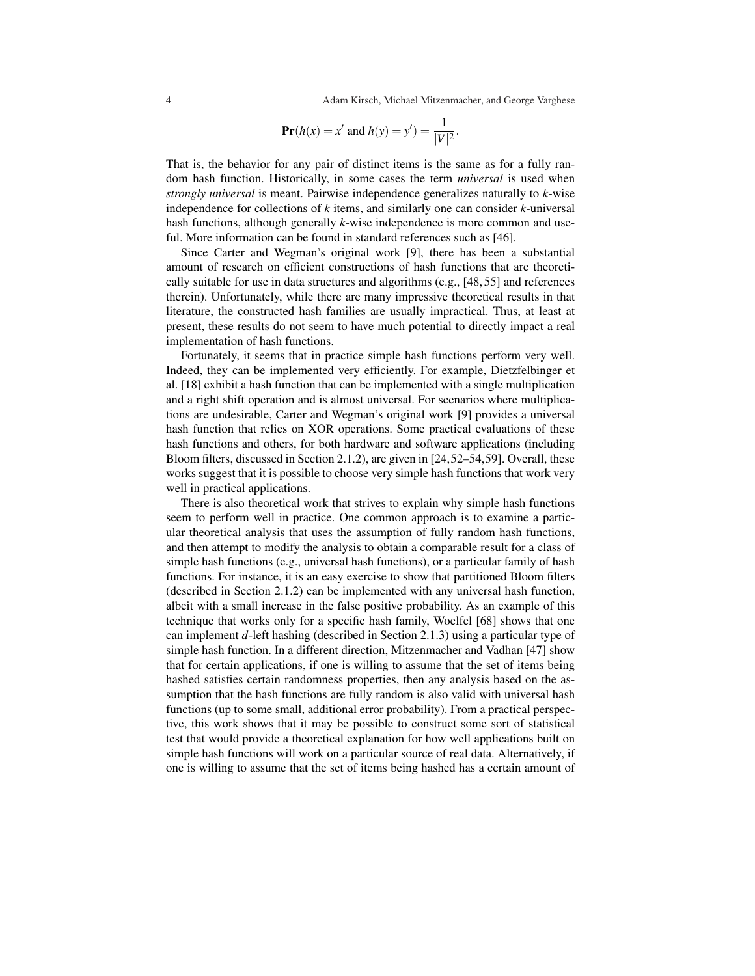4 Adam Kirsch, Michael Mitzenmacher, and George Varghese

$$
\mathbf{Pr}(h(x) = x' \text{ and } h(y) = y') = \frac{1}{|V|^2}.
$$

That is, the behavior for any pair of distinct items is the same as for a fully random hash function. Historically, in some cases the term *universal* is used when *strongly universal* is meant. Pairwise independence generalizes naturally to *k*-wise independence for collections of *k* items, and similarly one can consider *k*-universal hash functions, although generally *k*-wise independence is more common and useful. More information can be found in standard references such as [46].

Since Carter and Wegman's original work [9], there has been a substantial amount of research on efficient constructions of hash functions that are theoretically suitable for use in data structures and algorithms (e.g., [48, 55] and references therein). Unfortunately, while there are many impressive theoretical results in that literature, the constructed hash families are usually impractical. Thus, at least at present, these results do not seem to have much potential to directly impact a real implementation of hash functions.

Fortunately, it seems that in practice simple hash functions perform very well. Indeed, they can be implemented very efficiently. For example, Dietzfelbinger et al. [18] exhibit a hash function that can be implemented with a single multiplication and a right shift operation and is almost universal. For scenarios where multiplications are undesirable, Carter and Wegman's original work [9] provides a universal hash function that relies on XOR operations. Some practical evaluations of these hash functions and others, for both hardware and software applications (including Bloom filters, discussed in Section 2.1.2), are given in [24,52–54,59]. Overall, these works suggest that it is possible to choose very simple hash functions that work very well in practical applications.

There is also theoretical work that strives to explain why simple hash functions seem to perform well in practice. One common approach is to examine a particular theoretical analysis that uses the assumption of fully random hash functions, and then attempt to modify the analysis to obtain a comparable result for a class of simple hash functions (e.g., universal hash functions), or a particular family of hash functions. For instance, it is an easy exercise to show that partitioned Bloom filters (described in Section 2.1.2) can be implemented with any universal hash function, albeit with a small increase in the false positive probability. As an example of this technique that works only for a specific hash family, Woelfel [68] shows that one can implement *d*-left hashing (described in Section 2.1.3) using a particular type of simple hash function. In a different direction, Mitzenmacher and Vadhan [47] show that for certain applications, if one is willing to assume that the set of items being hashed satisfies certain randomness properties, then any analysis based on the assumption that the hash functions are fully random is also valid with universal hash functions (up to some small, additional error probability). From a practical perspective, this work shows that it may be possible to construct some sort of statistical test that would provide a theoretical explanation for how well applications built on simple hash functions will work on a particular source of real data. Alternatively, if one is willing to assume that the set of items being hashed has a certain amount of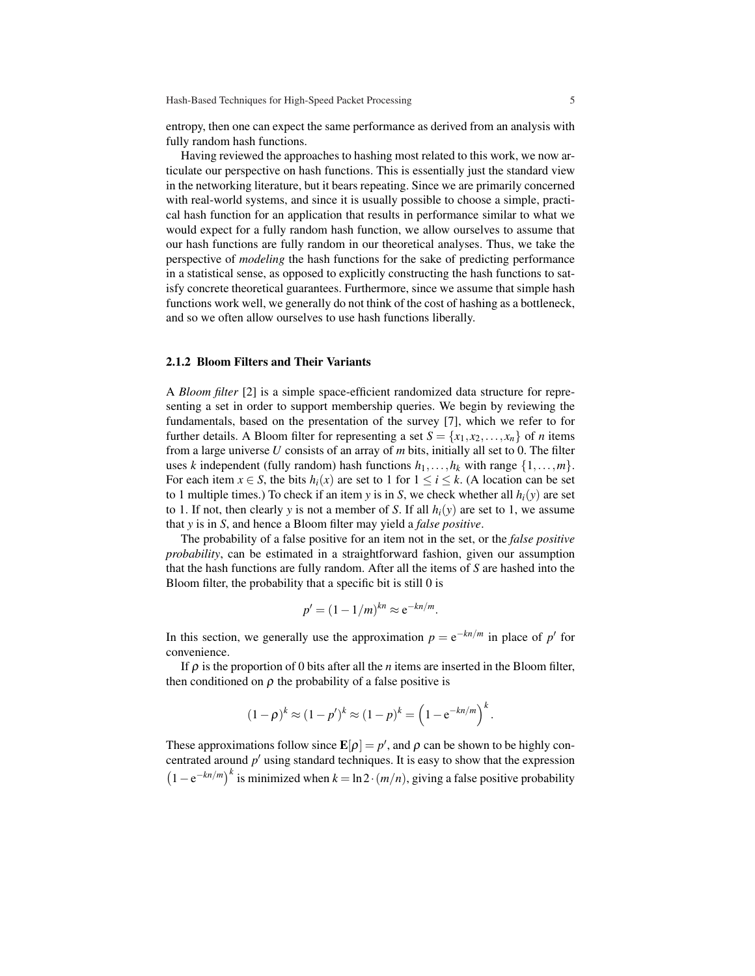entropy, then one can expect the same performance as derived from an analysis with fully random hash functions.

Having reviewed the approaches to hashing most related to this work, we now articulate our perspective on hash functions. This is essentially just the standard view in the networking literature, but it bears repeating. Since we are primarily concerned with real-world systems, and since it is usually possible to choose a simple, practical hash function for an application that results in performance similar to what we would expect for a fully random hash function, we allow ourselves to assume that our hash functions are fully random in our theoretical analyses. Thus, we take the perspective of *modeling* the hash functions for the sake of predicting performance in a statistical sense, as opposed to explicitly constructing the hash functions to satisfy concrete theoretical guarantees. Furthermore, since we assume that simple hash functions work well, we generally do not think of the cost of hashing as a bottleneck, and so we often allow ourselves to use hash functions liberally.

#### 2.1.2 Bloom Filters and Their Variants

A *Bloom filter* [2] is a simple space-efficient randomized data structure for representing a set in order to support membership queries. We begin by reviewing the fundamentals, based on the presentation of the survey [7], which we refer to for further details. A Bloom filter for representing a set  $S = \{x_1, x_2, \ldots, x_n\}$  of *n* items from a large universe *U* consists of an array of *m* bits, initially all set to 0. The filter uses *k* independent (fully random) hash functions  $h_1, \ldots, h_k$  with range  $\{1, \ldots, m\}$ . For each item  $x \in S$ , the bits  $h_i(x)$  are set to 1 for  $1 \le i \le k$ . (A location can be set to 1 multiple times.) To check if an item *y* is in *S*, we check whether all  $h_i(y)$  are set to 1. If not, then clearly *y* is not a member of *S*. If all  $h_i(y)$  are set to 1, we assume that *y* is in *S*, and hence a Bloom filter may yield a *false positive*.

The probability of a false positive for an item not in the set, or the *false positive probability*, can be estimated in a straightforward fashion, given our assumption that the hash functions are fully random. After all the items of *S* are hashed into the Bloom filter, the probability that a specific bit is still 0 is

$$
p' = (1 - 1/m)^{kn} \approx e^{-kn/m}.
$$

In this section, we generally use the approximation  $p = e^{-kn/m}$  in place of p' for convenience.

If  $\rho$  is the proportion of 0 bits after all the *n* items are inserted in the Bloom filter, then conditioned on  $\rho$  the probability of a false positive is

$$
(1 - \rho)^k \approx (1 - p')^k \approx (1 - p)^k = \left(1 - e^{-kn/m}\right)^k.
$$

These approximations follow since  $\mathbf{E}[\rho] = p'$ , and  $\rho$  can be shown to be highly concentrated around  $p'$  using standard techniques. It is easy to show that the expression ¡  $1-e^{-kn/m}$ <sup>*k*</sup> is minimized when  $k = \ln 2 \cdot (m/n)$ , giving a false positive probability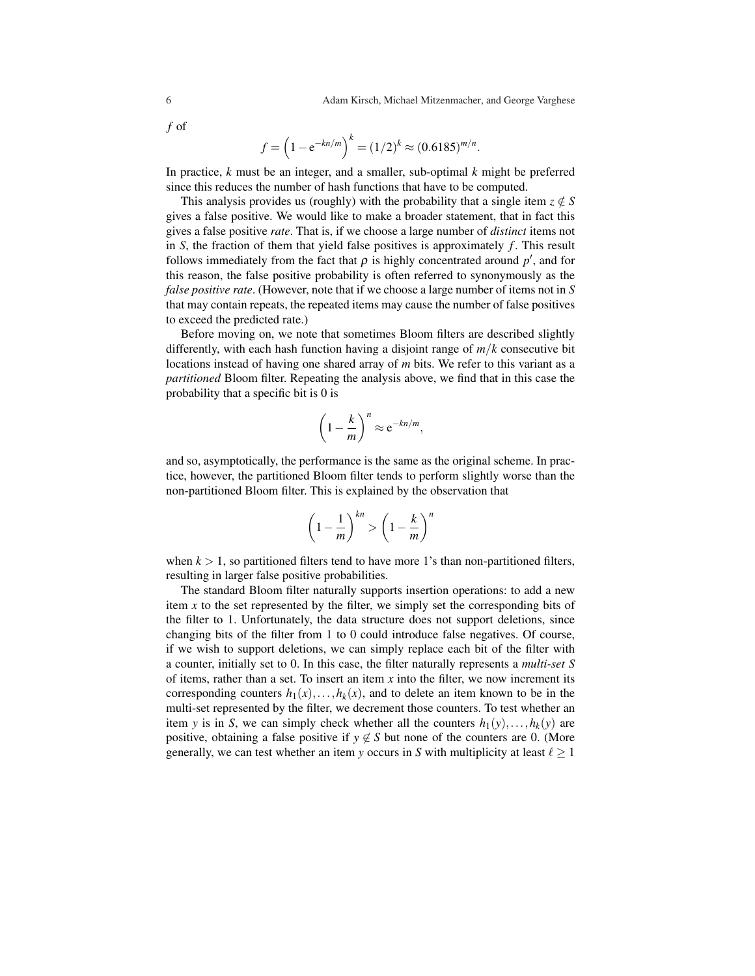6 Adam Kirsch, Michael Mitzenmacher, and George Varghese

*f* of

$$
f = \left(1 - e^{-kn/m}\right)^k = (1/2)^k \approx (0.6185)^{m/n}.
$$

In practice, *k* must be an integer, and a smaller, sub-optimal *k* might be preferred since this reduces the number of hash functions that have to be computed.

This analysis provides us (roughly) with the probability that a single item  $z \notin S$ gives a false positive. We would like to make a broader statement, that in fact this gives a false positive *rate*. That is, if we choose a large number of *distinct* items not in *S*, the fraction of them that yield false positives is approximately  $f$ . This result follows immediately from the fact that  $\rho$  is highly concentrated around  $p'$ , and for this reason, the false positive probability is often referred to synonymously as the *false positive rate*. (However, note that if we choose a large number of items not in *S* that may contain repeats, the repeated items may cause the number of false positives to exceed the predicted rate.)

Before moving on, we note that sometimes Bloom filters are described slightly differently, with each hash function having a disjoint range of *m*/*k* consecutive bit locations instead of having one shared array of *m* bits. We refer to this variant as a *partitioned* Bloom filter. Repeating the analysis above, we find that in this case the probability that a specific bit is 0 is

$$
\left(1 - \frac{k}{m}\right)^n \approx e^{-kn/m},
$$

and so, asymptotically, the performance is the same as the original scheme. In practice, however, the partitioned Bloom filter tends to perform slightly worse than the non-partitioned Bloom filter. This is explained by the observation that

$$
\left(1 - \frac{1}{m}\right)^{kn} > \left(1 - \frac{k}{m}\right)^n
$$

when  $k > 1$ , so partitioned filters tend to have more 1's than non-partitioned filters, resulting in larger false positive probabilities.

The standard Bloom filter naturally supports insertion operations: to add a new item *x* to the set represented by the filter, we simply set the corresponding bits of the filter to 1. Unfortunately, the data structure does not support deletions, since changing bits of the filter from 1 to 0 could introduce false negatives. Of course, if we wish to support deletions, we can simply replace each bit of the filter with a counter, initially set to 0. In this case, the filter naturally represents a *multi-set S* of items, rather than a set. To insert an item *x* into the filter, we now increment its corresponding counters  $h_1(x),...,h_k(x)$ , and to delete an item known to be in the multi-set represented by the filter, we decrement those counters. To test whether an item *y* is in *S*, we can simply check whether all the counters  $h_1(y),...,h_k(y)$  are positive, obtaining a false positive if  $y \notin S$  but none of the counters are 0. (More generally, we can test whether an item *y* occurs in *S* with multiplicity at least  $\ell \ge 1$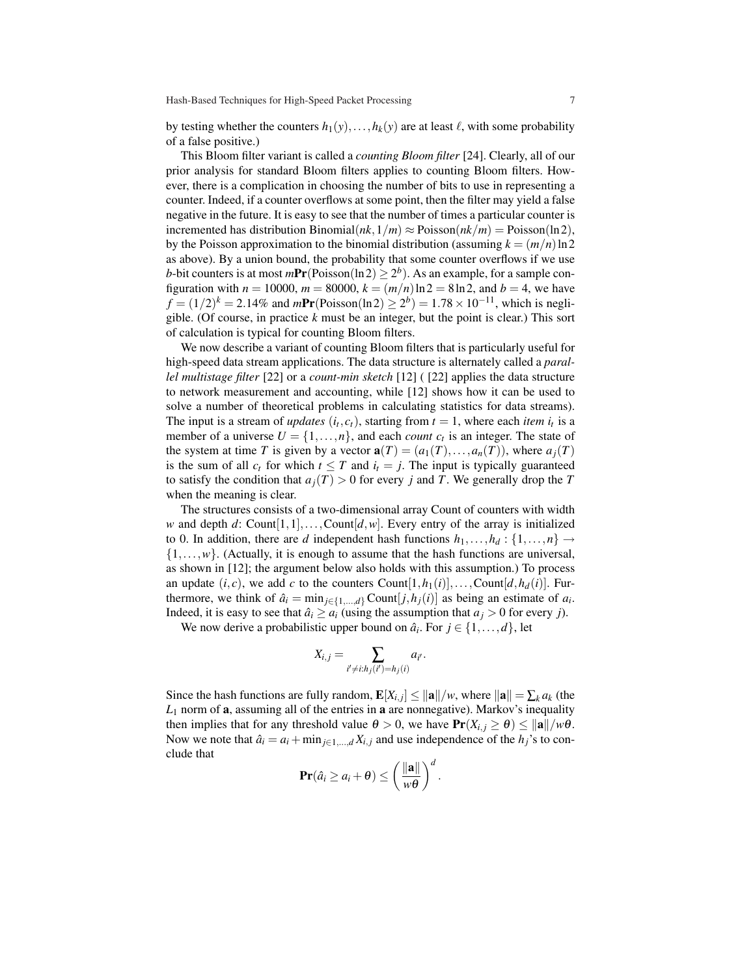by testing whether the counters  $h_1(y), \ldots, h_k(y)$  are at least  $\ell$ , with some probability of a false positive.)

This Bloom filter variant is called a *counting Bloom filter* [24]. Clearly, all of our prior analysis for standard Bloom filters applies to counting Bloom filters. However, there is a complication in choosing the number of bits to use in representing a counter. Indeed, if a counter overflows at some point, then the filter may yield a false negative in the future. It is easy to see that the number of times a particular counter is incremented has distribution Binomial $(nk,1/m) \approx \text{Poisson}(nk/m) = \text{Poisson}(\ln 2)$ , by the Poisson approximation to the binomial distribution (assuming  $k = (m/n) \ln 2$ as above). By a union bound, the probability that some counter overflows if we use *b*-bit counters is at most  $mPr(Poisson(ln 2) \ge 2<sup>b</sup>)$ . As an example, for a sample configuration with  $n = 10000$ ,  $m = 80000$ ,  $k = (m/n) \ln 2 = 8 \ln 2$ , and  $b = 4$ , we have  $f = (1/2)^k = 2.14\%$  and  $mPr(Poisson(\ln 2) \ge 2^b) = 1.78 \times 10^{-11}$ , which is negligible. (Of course, in practice *k* must be an integer, but the point is clear.) This sort of calculation is typical for counting Bloom filters.

We now describe a variant of counting Bloom filters that is particularly useful for high-speed data stream applications. The data structure is alternately called a *parallel multistage filter* [22] or a *count-min sketch* [12] ( [22] applies the data structure to network measurement and accounting, while [12] shows how it can be used to solve a number of theoretical problems in calculating statistics for data streams). The input is a stream of *updates*  $(i_t, c_t)$ , starting from  $t = 1$ , where each *item*  $i_t$  is a member of a universe  $U = \{1, \ldots, n\}$ , and each *count*  $c_t$  is an integer. The state of the system at time *T* is given by a vector  $\mathbf{a}(T) = (a_1(T), \ldots, a_n(T))$ , where  $a_i(T)$ is the sum of all  $c_t$  for which  $t \leq T$  and  $i_t = j$ . The input is typically guaranteed to satisfy the condition that  $a_j(T) > 0$  for every *j* and *T*. We generally drop the *T* when the meaning is clear.

The structures consists of a two-dimensional array Count of counters with width *w* and depth *d*: Count $[1,1], \ldots,$  Count $[d,w]$ . Every entry of the array is initialized to 0. In addition, there are *d* independent hash functions  $h_1, \ldots, h_d : \{1, \ldots, n\} \rightarrow$  $\{1,\ldots,w\}$ . (Actually, it is enough to assume that the hash functions are universal, as shown in [12]; the argument below also holds with this assumption.) To process an update  $(i, c)$ , we add  $c$  to the counters Count $[1, h_1(i)], \ldots,$  Count $[d, h_d(i)]$ . Furthermore, we think of  $\hat{a}_i = \min_{j \in \{1, \dots, d\}} \text{Count}[j, h_j(i)]$  as being an estimate of  $a_i$ . Indeed, it is easy to see that  $\hat{a}_i \ge a_i$  (using the assumption that  $a_j > 0$  for every *j*).

We now derive a probabilistic upper bound on  $\hat{a}_i$ . For  $j \in \{1, ..., d\}$ , let

$$
X_{i,j} = \sum_{i' \neq i: h_j(i') = h_j(i)} a_{i'}.
$$

Since the hash functions are fully random,  $\mathbf{E}[X_{i,j}] \le ||\mathbf{a}||/w$ , where  $||\mathbf{a}|| = \sum_k a_k$  (the  $L_1$  norm of  $a$ , assuming all of the entries in  $a$  are nonnegative). Markov's inequality then implies that for any threshold value  $\theta > 0$ , we have  $\Pr(X_{i,j} \geq \theta) \leq ||a||/w\theta$ . Now we note that  $\hat{a}_i = a_i + \min_{j \in 1, \dots, d} X_{i,j}$  and use independence of the  $h_j$ 's to conclude that  $\overline{a}$ ¶*d*

$$
\mathbf{Pr}(\hat{a}_i \geq a_i + \theta) \leq \left(\frac{\|\mathbf{a}\|}{w\theta}\right)^d.
$$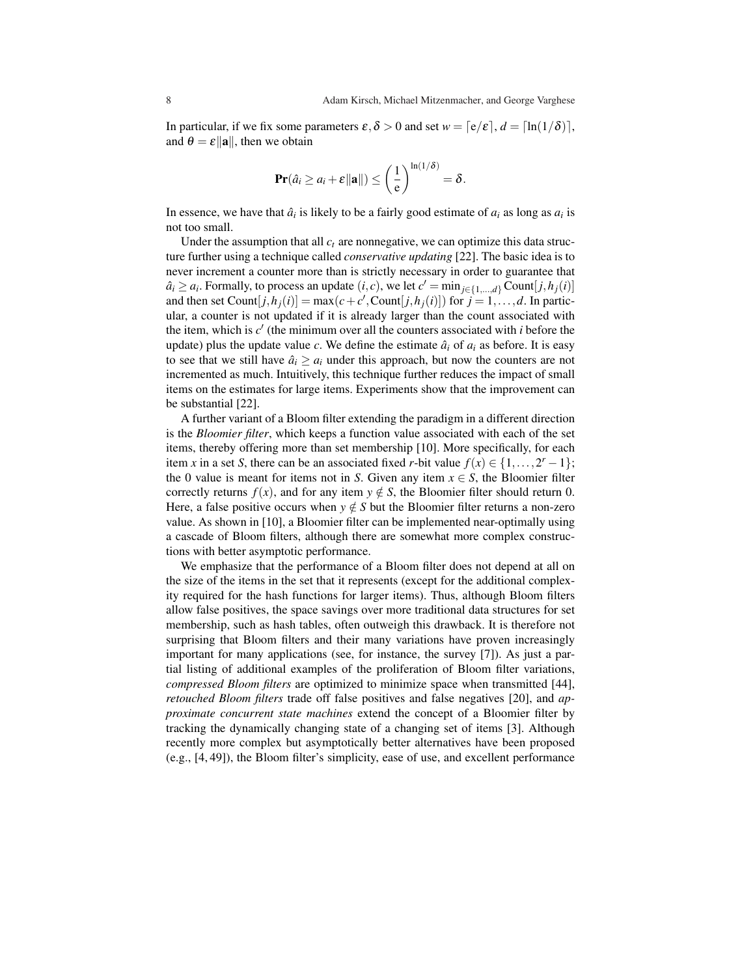In particular, if we fix some parameters  $\varepsilon$ ,  $\delta > 0$  and set  $w = \lceil e/\varepsilon \rceil$ ,  $d = \lceil \ln(1/\delta) \rceil$ , and  $\theta = \varepsilon ||\mathbf{a}||$ , then we obtain

$$
\mathbf{Pr}(\hat{a}_i \geq a_i + \varepsilon ||\mathbf{a}||) \leq \left(\frac{1}{e}\right)^{\ln(1/\delta)} = \delta.
$$

In essence, we have that  $\hat{a}_i$  is likely to be a fairly good estimate of  $a_i$  as long as  $a_i$  is not too small.

Under the assumption that all  $c<sub>t</sub>$  are nonnegative, we can optimize this data structure further using a technique called *conservative updating* [22]. The basic idea is to never increment a counter more than is strictly necessary in order to guarantee that  $\hat{a}_i \ge a_i$ . Formally, to process an update  $(i, c)$ , we let  $c' = \min_{j \in \{1, \ldots, d\}} \text{Count}[j, h_j(i)]$ and then set Count $[j, h_j(i)] = \max(c + c', \text{Count}[j, h_j(i)])$  for  $j = 1, ..., d$ . In particular, a counter is not updated if it is already larger than the count associated with the item, which is  $c'$  (the minimum over all the counters associated with  $i$  before the update) plus the update value *c*. We define the estimate  $\hat{a}_i$  of  $a_i$  as before. It is easy to see that we still have  $\hat{a}_i \geq a_i$  under this approach, but now the counters are not incremented as much. Intuitively, this technique further reduces the impact of small items on the estimates for large items. Experiments show that the improvement can be substantial [22].

A further variant of a Bloom filter extending the paradigm in a different direction is the *Bloomier filter*, which keeps a function value associated with each of the set items, thereby offering more than set membership [10]. More specifically, for each item *x* in a set *S*, there can be an associated fixed *r*-bit value  $f(x) \in \{1, ..., 2^r - 1\}$ ; the 0 value is meant for items not in *S*. Given any item  $x \in S$ , the Bloomier filter correctly returns  $f(x)$ , and for any item  $y \notin S$ , the Bloomier filter should return 0. Here, a false positive occurs when  $y \notin S$  but the Bloomier filter returns a non-zero value. As shown in [10], a Bloomier filter can be implemented near-optimally using a cascade of Bloom filters, although there are somewhat more complex constructions with better asymptotic performance.

We emphasize that the performance of a Bloom filter does not depend at all on the size of the items in the set that it represents (except for the additional complexity required for the hash functions for larger items). Thus, although Bloom filters allow false positives, the space savings over more traditional data structures for set membership, such as hash tables, often outweigh this drawback. It is therefore not surprising that Bloom filters and their many variations have proven increasingly important for many applications (see, for instance, the survey [7]). As just a partial listing of additional examples of the proliferation of Bloom filter variations, *compressed Bloom filters* are optimized to minimize space when transmitted [44], *retouched Bloom filters* trade off false positives and false negatives [20], and *approximate concurrent state machines* extend the concept of a Bloomier filter by tracking the dynamically changing state of a changing set of items [3]. Although recently more complex but asymptotically better alternatives have been proposed (e.g., [4, 49]), the Bloom filter's simplicity, ease of use, and excellent performance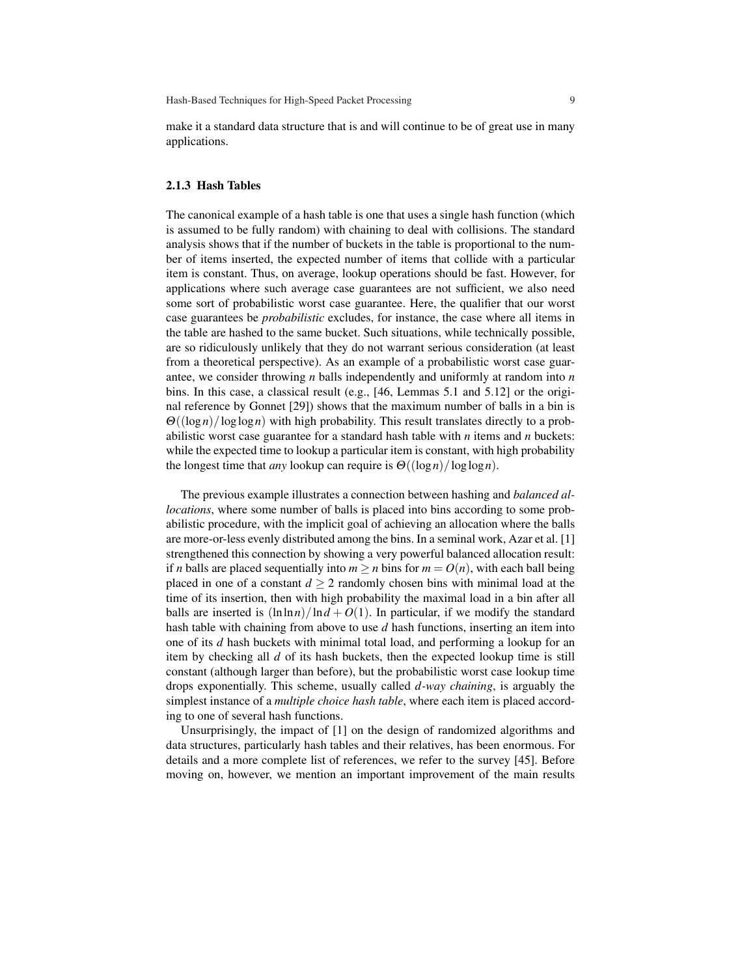make it a standard data structure that is and will continue to be of great use in many applications.

#### 2.1.3 Hash Tables

The canonical example of a hash table is one that uses a single hash function (which is assumed to be fully random) with chaining to deal with collisions. The standard analysis shows that if the number of buckets in the table is proportional to the number of items inserted, the expected number of items that collide with a particular item is constant. Thus, on average, lookup operations should be fast. However, for applications where such average case guarantees are not sufficient, we also need some sort of probabilistic worst case guarantee. Here, the qualifier that our worst case guarantees be *probabilistic* excludes, for instance, the case where all items in the table are hashed to the same bucket. Such situations, while technically possible, are so ridiculously unlikely that they do not warrant serious consideration (at least from a theoretical perspective). As an example of a probabilistic worst case guarantee, we consider throwing *n* balls independently and uniformly at random into *n* bins. In this case, a classical result (e.g., [46, Lemmas 5.1 and 5.12] or the original reference by Gonnet [29]) shows that the maximum number of balls in a bin is  $\Theta((\log n)/\log\log n)$  with high probability. This result translates directly to a probabilistic worst case guarantee for a standard hash table with *n* items and *n* buckets: while the expected time to lookup a particular item is constant, with high probability the longest time that *any* lookup can require is  $\Theta((\log n)/\log \log n)$ .

The previous example illustrates a connection between hashing and *balanced allocations*, where some number of balls is placed into bins according to some probabilistic procedure, with the implicit goal of achieving an allocation where the balls are more-or-less evenly distributed among the bins. In a seminal work, Azar et al. [1] strengthened this connection by showing a very powerful balanced allocation result: if *n* balls are placed sequentially into  $m \ge n$  bins for  $m = O(n)$ , with each ball being placed in one of a constant  $d \geq 2$  randomly chosen bins with minimal load at the time of its insertion, then with high probability the maximal load in a bin after all balls are inserted is  $(\ln \ln n)/\ln d + O(1)$ . In particular, if we modify the standard hash table with chaining from above to use *d* hash functions, inserting an item into one of its *d* hash buckets with minimal total load, and performing a lookup for an item by checking all *d* of its hash buckets, then the expected lookup time is still constant (although larger than before), but the probabilistic worst case lookup time drops exponentially. This scheme, usually called *d-way chaining*, is arguably the simplest instance of a *multiple choice hash table*, where each item is placed according to one of several hash functions.

Unsurprisingly, the impact of [1] on the design of randomized algorithms and data structures, particularly hash tables and their relatives, has been enormous. For details and a more complete list of references, we refer to the survey [45]. Before moving on, however, we mention an important improvement of the main results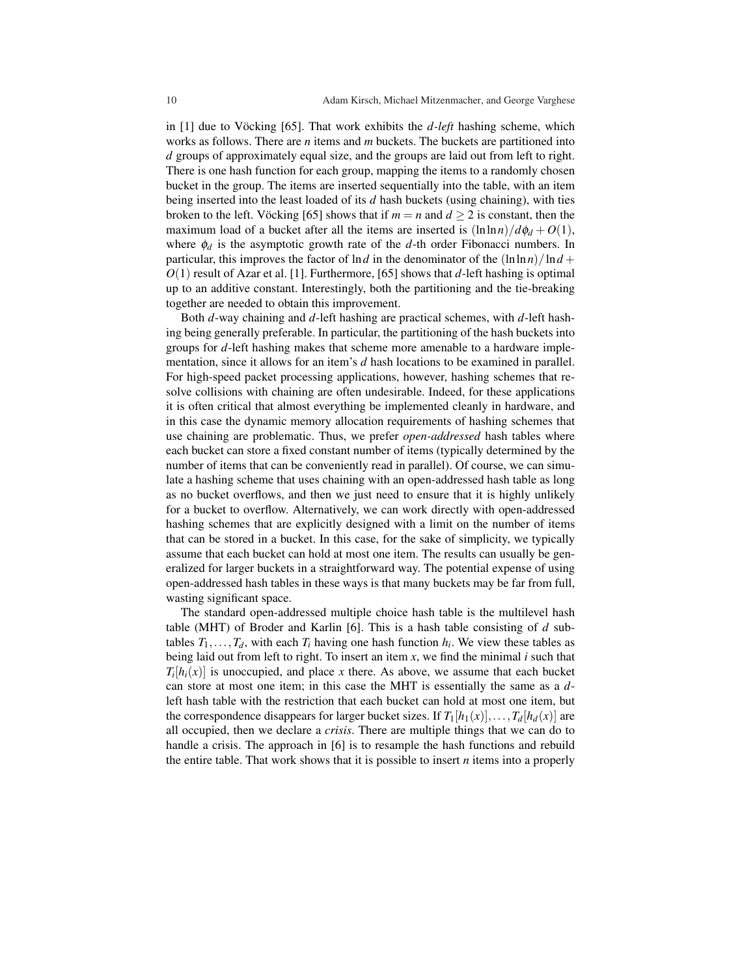in  $[1]$  due to Vöcking  $[65]$ . That work exhibits the *d-left* hashing scheme, which works as follows. There are *n* items and *m* buckets. The buckets are partitioned into *d* groups of approximately equal size, and the groups are laid out from left to right. There is one hash function for each group, mapping the items to a randomly chosen bucket in the group. The items are inserted sequentially into the table, with an item being inserted into the least loaded of its *d* hash buckets (using chaining), with ties broken to the left. Vöcking [65] shows that if  $m = n$  and  $d > 2$  is constant, then the maximum load of a bucket after all the items are inserted is  $(\ln \ln n)/d\phi_d + O(1)$ , where  $\phi_d$  is the asymptotic growth rate of the *d*-th order Fibonacci numbers. In particular, this improves the factor of lnd in the denominator of the  $(\ln \ln n)/\ln d +$ *O*(1) result of Azar et al. [1]. Furthermore, [65] shows that *d*-left hashing is optimal up to an additive constant. Interestingly, both the partitioning and the tie-breaking together are needed to obtain this improvement.

Both *d*-way chaining and *d*-left hashing are practical schemes, with *d*-left hashing being generally preferable. In particular, the partitioning of the hash buckets into groups for *d*-left hashing makes that scheme more amenable to a hardware implementation, since it allows for an item's *d* hash locations to be examined in parallel. For high-speed packet processing applications, however, hashing schemes that resolve collisions with chaining are often undesirable. Indeed, for these applications it is often critical that almost everything be implemented cleanly in hardware, and in this case the dynamic memory allocation requirements of hashing schemes that use chaining are problematic. Thus, we prefer *open-addressed* hash tables where each bucket can store a fixed constant number of items (typically determined by the number of items that can be conveniently read in parallel). Of course, we can simulate a hashing scheme that uses chaining with an open-addressed hash table as long as no bucket overflows, and then we just need to ensure that it is highly unlikely for a bucket to overflow. Alternatively, we can work directly with open-addressed hashing schemes that are explicitly designed with a limit on the number of items that can be stored in a bucket. In this case, for the sake of simplicity, we typically assume that each bucket can hold at most one item. The results can usually be generalized for larger buckets in a straightforward way. The potential expense of using open-addressed hash tables in these ways is that many buckets may be far from full, wasting significant space.

The standard open-addressed multiple choice hash table is the multilevel hash table (MHT) of Broder and Karlin [6]. This is a hash table consisting of *d* subtables  $T_1, \ldots, T_d$ , with each  $T_i$  having one hash function  $h_i$ . We view these tables as being laid out from left to right. To insert an item *x*, we find the minimal *i* such that  $T_i[h_i(x)]$  is unoccupied, and place *x* there. As above, we assume that each bucket can store at most one item; in this case the MHT is essentially the same as a *d*left hash table with the restriction that each bucket can hold at most one item, but the correspondence disappears for larger bucket sizes. If  $T_1[h_1(x)], \ldots, T_d[h_d(x)]$  are all occupied, then we declare a *crisis*. There are multiple things that we can do to handle a crisis. The approach in [6] is to resample the hash functions and rebuild the entire table. That work shows that it is possible to insert *n* items into a properly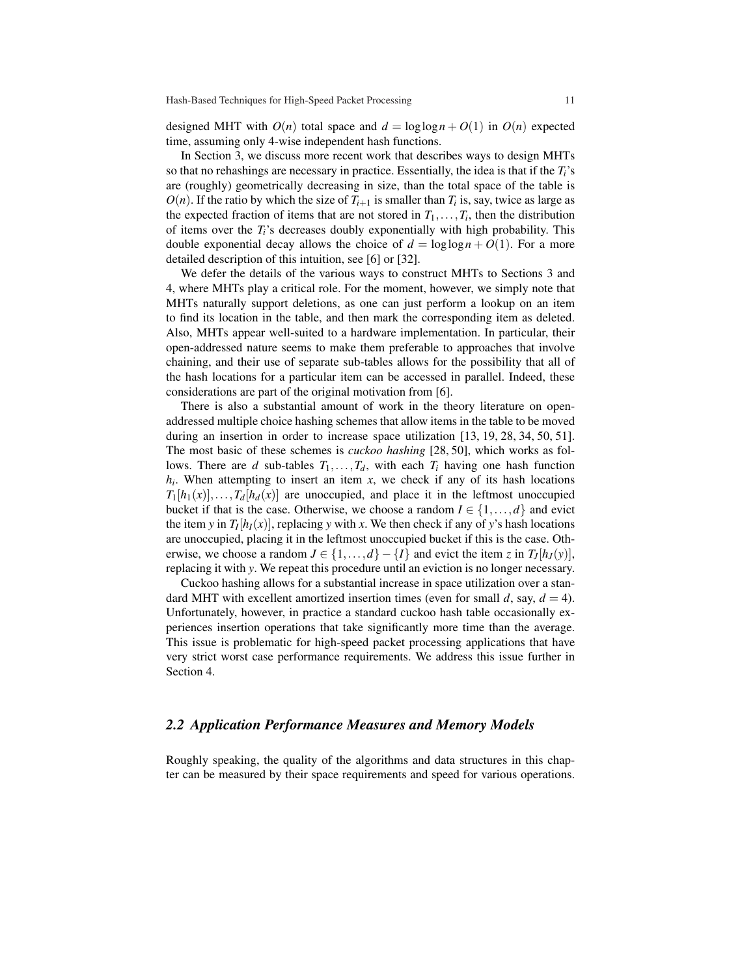designed MHT with  $O(n)$  total space and  $d = \log \log n + O(1)$  in  $O(n)$  expected time, assuming only 4-wise independent hash functions.

In Section 3, we discuss more recent work that describes ways to design MHTs so that no rehashings are necessary in practice. Essentially, the idea is that if the *Ti*'s are (roughly) geometrically decreasing in size, than the total space of the table is  $O(n)$ . If the ratio by which the size of  $T_{i+1}$  is smaller than  $T_i$  is, say, twice as large as the expected fraction of items that are not stored in  $T_1, \ldots, T_i$ , then the distribution of items over the *Ti*'s decreases doubly exponentially with high probability. This double exponential decay allows the choice of  $d = \log \log n + O(1)$ . For a more detailed description of this intuition, see [6] or [32].

We defer the details of the various ways to construct MHTs to Sections 3 and 4, where MHTs play a critical role. For the moment, however, we simply note that MHTs naturally support deletions, as one can just perform a lookup on an item to find its location in the table, and then mark the corresponding item as deleted. Also, MHTs appear well-suited to a hardware implementation. In particular, their open-addressed nature seems to make them preferable to approaches that involve chaining, and their use of separate sub-tables allows for the possibility that all of the hash locations for a particular item can be accessed in parallel. Indeed, these considerations are part of the original motivation from [6].

There is also a substantial amount of work in the theory literature on openaddressed multiple choice hashing schemes that allow items in the table to be moved during an insertion in order to increase space utilization [13, 19, 28, 34, 50, 51]. The most basic of these schemes is *cuckoo hashing* [28, 50], which works as follows. There are *d* sub-tables  $T_1, \ldots, T_d$ , with each  $T_i$  having one hash function *hi* . When attempting to insert an item *x*, we check if any of its hash locations  $T_1[h_1(x)], \ldots, T_d[h_d(x)]$  are unoccupied, and place it in the leftmost unoccupied bucket if that is the case. Otherwise, we choose a random  $I \in \{1, \ldots, d\}$  and evict the item *y* in  $T_I[h_I(x)]$ , replacing *y* with *x*. We then check if any of *y*'s hash locations are unoccupied, placing it in the leftmost unoccupied bucket if this is the case. Otherwise, we choose a random  $J \in \{1, ..., d\} - \{I\}$  and evict the item *z* in  $T_J[h_J(y)]$ , replacing it with *y*. We repeat this procedure until an eviction is no longer necessary.

Cuckoo hashing allows for a substantial increase in space utilization over a standard MHT with excellent amortized insertion times (even for small  $d$ , say,  $d = 4$ ). Unfortunately, however, in practice a standard cuckoo hash table occasionally experiences insertion operations that take significantly more time than the average. This issue is problematic for high-speed packet processing applications that have very strict worst case performance requirements. We address this issue further in Section 4.

#### *2.2 Application Performance Measures and Memory Models*

Roughly speaking, the quality of the algorithms and data structures in this chapter can be measured by their space requirements and speed for various operations.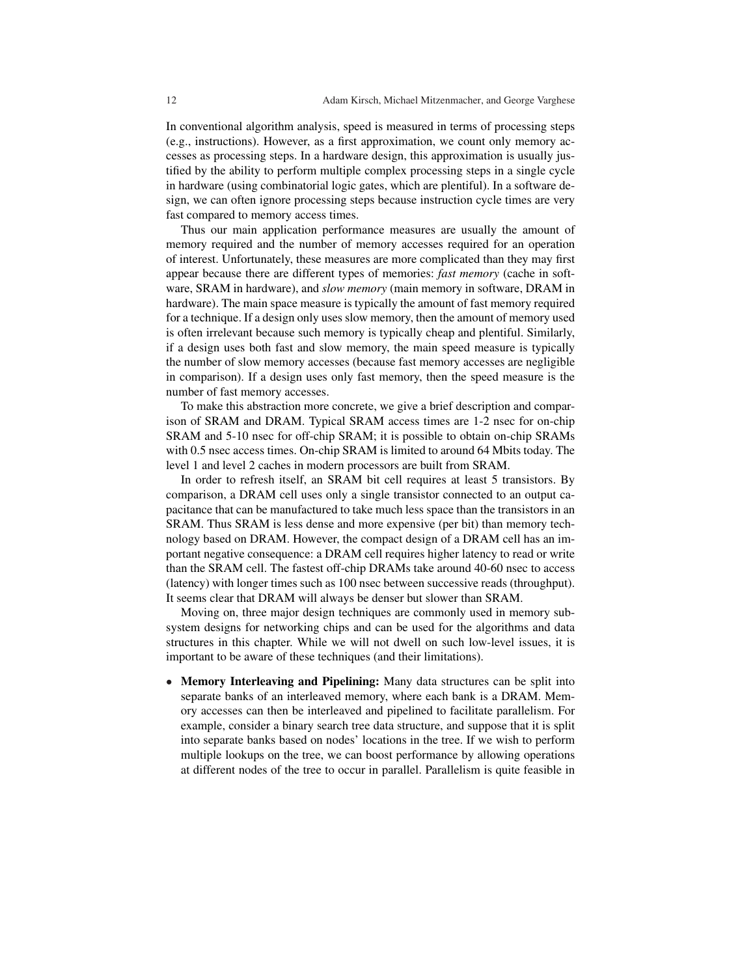In conventional algorithm analysis, speed is measured in terms of processing steps (e.g., instructions). However, as a first approximation, we count only memory accesses as processing steps. In a hardware design, this approximation is usually justified by the ability to perform multiple complex processing steps in a single cycle in hardware (using combinatorial logic gates, which are plentiful). In a software design, we can often ignore processing steps because instruction cycle times are very fast compared to memory access times.

Thus our main application performance measures are usually the amount of memory required and the number of memory accesses required for an operation of interest. Unfortunately, these measures are more complicated than they may first appear because there are different types of memories: *fast memory* (cache in software, SRAM in hardware), and *slow memory* (main memory in software, DRAM in hardware). The main space measure is typically the amount of fast memory required for a technique. If a design only uses slow memory, then the amount of memory used is often irrelevant because such memory is typically cheap and plentiful. Similarly, if a design uses both fast and slow memory, the main speed measure is typically the number of slow memory accesses (because fast memory accesses are negligible in comparison). If a design uses only fast memory, then the speed measure is the number of fast memory accesses.

To make this abstraction more concrete, we give a brief description and comparison of SRAM and DRAM. Typical SRAM access times are 1-2 nsec for on-chip SRAM and 5-10 nsec for off-chip SRAM; it is possible to obtain on-chip SRAMs with 0.5 nsec access times. On-chip SRAM is limited to around 64 Mbits today. The level 1 and level 2 caches in modern processors are built from SRAM.

In order to refresh itself, an SRAM bit cell requires at least 5 transistors. By comparison, a DRAM cell uses only a single transistor connected to an output capacitance that can be manufactured to take much less space than the transistors in an SRAM. Thus SRAM is less dense and more expensive (per bit) than memory technology based on DRAM. However, the compact design of a DRAM cell has an important negative consequence: a DRAM cell requires higher latency to read or write than the SRAM cell. The fastest off-chip DRAMs take around 40-60 nsec to access (latency) with longer times such as 100 nsec between successive reads (throughput). It seems clear that DRAM will always be denser but slower than SRAM.

Moving on, three major design techniques are commonly used in memory subsystem designs for networking chips and can be used for the algorithms and data structures in this chapter. While we will not dwell on such low-level issues, it is important to be aware of these techniques (and their limitations).

• Memory Interleaving and Pipelining: Many data structures can be split into separate banks of an interleaved memory, where each bank is a DRAM. Memory accesses can then be interleaved and pipelined to facilitate parallelism. For example, consider a binary search tree data structure, and suppose that it is split into separate banks based on nodes' locations in the tree. If we wish to perform multiple lookups on the tree, we can boost performance by allowing operations at different nodes of the tree to occur in parallel. Parallelism is quite feasible in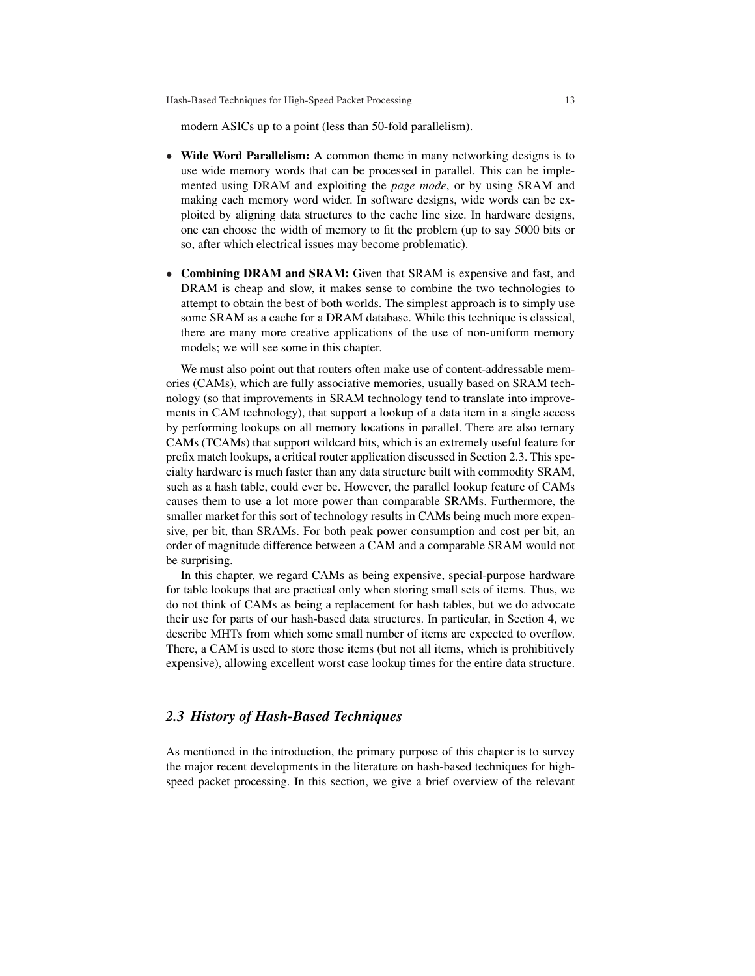modern ASICs up to a point (less than 50-fold parallelism).

- Wide Word Parallelism: A common theme in many networking designs is to use wide memory words that can be processed in parallel. This can be implemented using DRAM and exploiting the *page mode*, or by using SRAM and making each memory word wider. In software designs, wide words can be exploited by aligning data structures to the cache line size. In hardware designs, one can choose the width of memory to fit the problem (up to say 5000 bits or so, after which electrical issues may become problematic).
- Combining DRAM and SRAM: Given that SRAM is expensive and fast, and DRAM is cheap and slow, it makes sense to combine the two technologies to attempt to obtain the best of both worlds. The simplest approach is to simply use some SRAM as a cache for a DRAM database. While this technique is classical, there are many more creative applications of the use of non-uniform memory models; we will see some in this chapter.

We must also point out that routers often make use of content-addressable memories (CAMs), which are fully associative memories, usually based on SRAM technology (so that improvements in SRAM technology tend to translate into improvements in CAM technology), that support a lookup of a data item in a single access by performing lookups on all memory locations in parallel. There are also ternary CAMs (TCAMs) that support wildcard bits, which is an extremely useful feature for prefix match lookups, a critical router application discussed in Section 2.3. This specialty hardware is much faster than any data structure built with commodity SRAM, such as a hash table, could ever be. However, the parallel lookup feature of CAMs causes them to use a lot more power than comparable SRAMs. Furthermore, the smaller market for this sort of technology results in CAMs being much more expensive, per bit, than SRAMs. For both peak power consumption and cost per bit, an order of magnitude difference between a CAM and a comparable SRAM would not be surprising.

In this chapter, we regard CAMs as being expensive, special-purpose hardware for table lookups that are practical only when storing small sets of items. Thus, we do not think of CAMs as being a replacement for hash tables, but we do advocate their use for parts of our hash-based data structures. In particular, in Section 4, we describe MHTs from which some small number of items are expected to overflow. There, a CAM is used to store those items (but not all items, which is prohibitively expensive), allowing excellent worst case lookup times for the entire data structure.

### *2.3 History of Hash-Based Techniques*

As mentioned in the introduction, the primary purpose of this chapter is to survey the major recent developments in the literature on hash-based techniques for highspeed packet processing. In this section, we give a brief overview of the relevant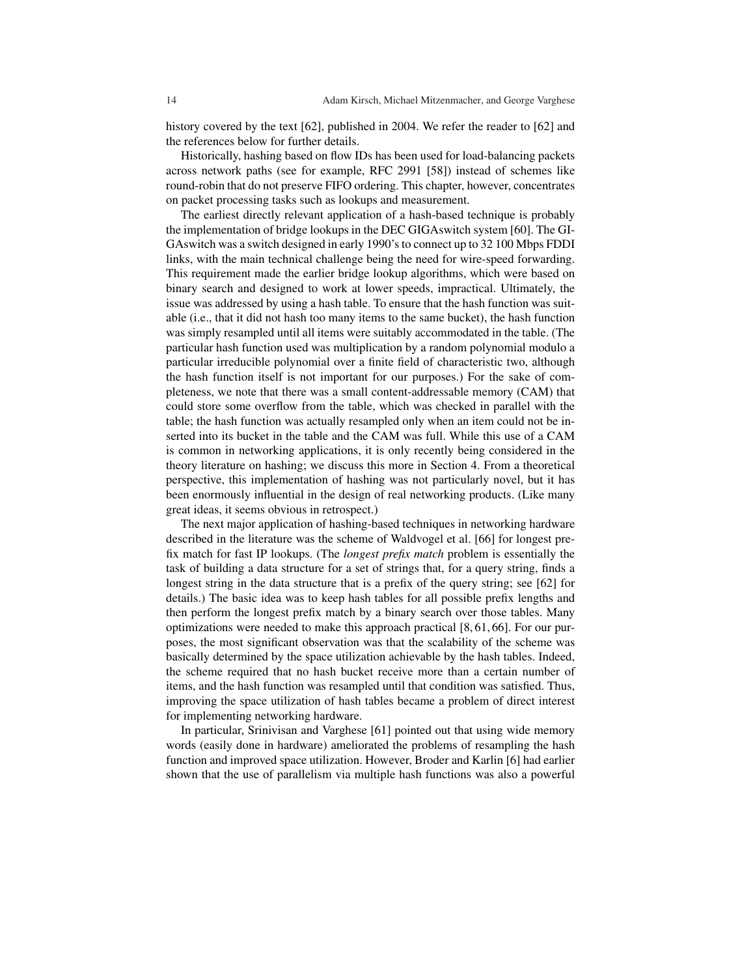history covered by the text [62], published in 2004. We refer the reader to [62] and the references below for further details.

Historically, hashing based on flow IDs has been used for load-balancing packets across network paths (see for example, RFC 2991 [58]) instead of schemes like round-robin that do not preserve FIFO ordering. This chapter, however, concentrates on packet processing tasks such as lookups and measurement.

The earliest directly relevant application of a hash-based technique is probably the implementation of bridge lookups in the DEC GIGAswitch system [60]. The GI-GAswitch was a switch designed in early 1990's to connect up to 32 100 Mbps FDDI links, with the main technical challenge being the need for wire-speed forwarding. This requirement made the earlier bridge lookup algorithms, which were based on binary search and designed to work at lower speeds, impractical. Ultimately, the issue was addressed by using a hash table. To ensure that the hash function was suitable (i.e., that it did not hash too many items to the same bucket), the hash function was simply resampled until all items were suitably accommodated in the table. (The particular hash function used was multiplication by a random polynomial modulo a particular irreducible polynomial over a finite field of characteristic two, although the hash function itself is not important for our purposes.) For the sake of completeness, we note that there was a small content-addressable memory (CAM) that could store some overflow from the table, which was checked in parallel with the table; the hash function was actually resampled only when an item could not be inserted into its bucket in the table and the CAM was full. While this use of a CAM is common in networking applications, it is only recently being considered in the theory literature on hashing; we discuss this more in Section 4. From a theoretical perspective, this implementation of hashing was not particularly novel, but it has been enormously influential in the design of real networking products. (Like many great ideas, it seems obvious in retrospect.)

The next major application of hashing-based techniques in networking hardware described in the literature was the scheme of Waldvogel et al. [66] for longest prefix match for fast IP lookups. (The *longest prefix match* problem is essentially the task of building a data structure for a set of strings that, for a query string, finds a longest string in the data structure that is a prefix of the query string; see [62] for details.) The basic idea was to keep hash tables for all possible prefix lengths and then perform the longest prefix match by a binary search over those tables. Many optimizations were needed to make this approach practical [8, 61, 66]. For our purposes, the most significant observation was that the scalability of the scheme was basically determined by the space utilization achievable by the hash tables. Indeed, the scheme required that no hash bucket receive more than a certain number of items, and the hash function was resampled until that condition was satisfied. Thus, improving the space utilization of hash tables became a problem of direct interest for implementing networking hardware.

In particular, Srinivisan and Varghese [61] pointed out that using wide memory words (easily done in hardware) ameliorated the problems of resampling the hash function and improved space utilization. However, Broder and Karlin [6] had earlier shown that the use of parallelism via multiple hash functions was also a powerful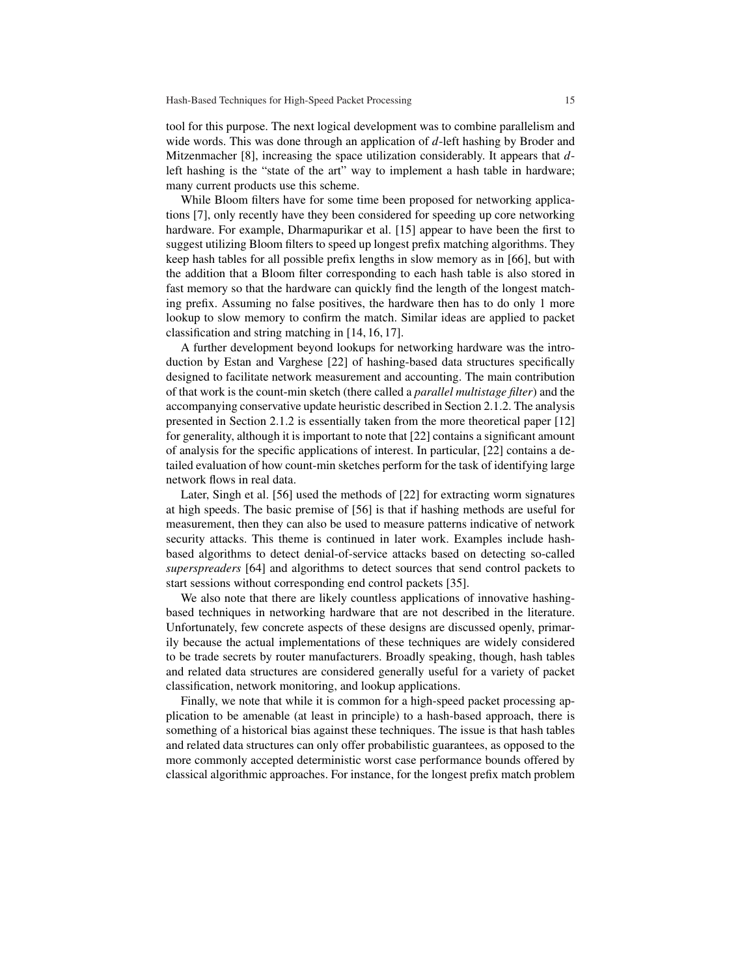tool for this purpose. The next logical development was to combine parallelism and wide words. This was done through an application of *d*-left hashing by Broder and Mitzenmacher [8], increasing the space utilization considerably. It appears that *d*left hashing is the "state of the art" way to implement a hash table in hardware; many current products use this scheme.

While Bloom filters have for some time been proposed for networking applications [7], only recently have they been considered for speeding up core networking hardware. For example, Dharmapurikar et al. [15] appear to have been the first to suggest utilizing Bloom filters to speed up longest prefix matching algorithms. They keep hash tables for all possible prefix lengths in slow memory as in [66], but with the addition that a Bloom filter corresponding to each hash table is also stored in fast memory so that the hardware can quickly find the length of the longest matching prefix. Assuming no false positives, the hardware then has to do only 1 more lookup to slow memory to confirm the match. Similar ideas are applied to packet classification and string matching in [14, 16, 17].

A further development beyond lookups for networking hardware was the introduction by Estan and Varghese [22] of hashing-based data structures specifically designed to facilitate network measurement and accounting. The main contribution of that work is the count-min sketch (there called a *parallel multistage filter*) and the accompanying conservative update heuristic described in Section 2.1.2. The analysis presented in Section 2.1.2 is essentially taken from the more theoretical paper [12] for generality, although it is important to note that [22] contains a significant amount of analysis for the specific applications of interest. In particular, [22] contains a detailed evaluation of how count-min sketches perform for the task of identifying large network flows in real data.

Later, Singh et al. [56] used the methods of [22] for extracting worm signatures at high speeds. The basic premise of [56] is that if hashing methods are useful for measurement, then they can also be used to measure patterns indicative of network security attacks. This theme is continued in later work. Examples include hashbased algorithms to detect denial-of-service attacks based on detecting so-called *superspreaders* [64] and algorithms to detect sources that send control packets to start sessions without corresponding end control packets [35].

We also note that there are likely countless applications of innovative hashingbased techniques in networking hardware that are not described in the literature. Unfortunately, few concrete aspects of these designs are discussed openly, primarily because the actual implementations of these techniques are widely considered to be trade secrets by router manufacturers. Broadly speaking, though, hash tables and related data structures are considered generally useful for a variety of packet classification, network monitoring, and lookup applications.

Finally, we note that while it is common for a high-speed packet processing application to be amenable (at least in principle) to a hash-based approach, there is something of a historical bias against these techniques. The issue is that hash tables and related data structures can only offer probabilistic guarantees, as opposed to the more commonly accepted deterministic worst case performance bounds offered by classical algorithmic approaches. For instance, for the longest prefix match problem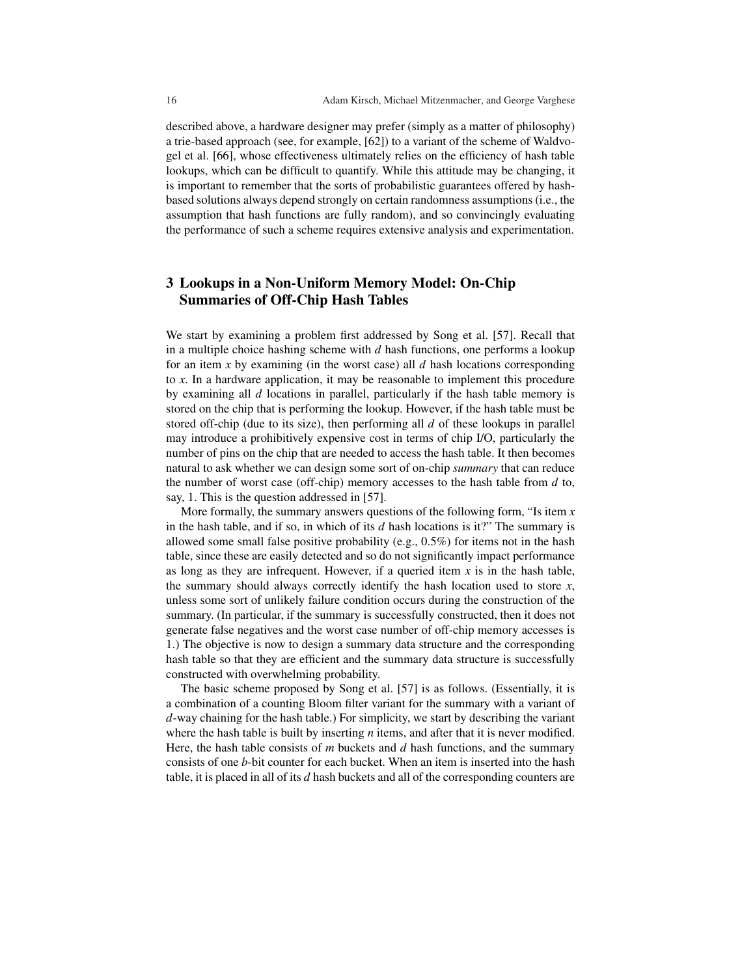described above, a hardware designer may prefer (simply as a matter of philosophy) a trie-based approach (see, for example, [62]) to a variant of the scheme of Waldvogel et al. [66], whose effectiveness ultimately relies on the efficiency of hash table lookups, which can be difficult to quantify. While this attitude may be changing, it is important to remember that the sorts of probabilistic guarantees offered by hashbased solutions always depend strongly on certain randomness assumptions (i.e., the assumption that hash functions are fully random), and so convincingly evaluating the performance of such a scheme requires extensive analysis and experimentation.

# 3 Lookups in a Non-Uniform Memory Model: On-Chip Summaries of Off-Chip Hash Tables

We start by examining a problem first addressed by Song et al. [57]. Recall that in a multiple choice hashing scheme with *d* hash functions, one performs a lookup for an item *x* by examining (in the worst case) all *d* hash locations corresponding to *x*. In a hardware application, it may be reasonable to implement this procedure by examining all *d* locations in parallel, particularly if the hash table memory is stored on the chip that is performing the lookup. However, if the hash table must be stored off-chip (due to its size), then performing all *d* of these lookups in parallel may introduce a prohibitively expensive cost in terms of chip I/O, particularly the number of pins on the chip that are needed to access the hash table. It then becomes natural to ask whether we can design some sort of on-chip *summary* that can reduce the number of worst case (off-chip) memory accesses to the hash table from *d* to, say, 1. This is the question addressed in [57].

More formally, the summary answers questions of the following form, "Is item *x* in the hash table, and if so, in which of its *d* hash locations is it?" The summary is allowed some small false positive probability (e.g., 0.5%) for items not in the hash table, since these are easily detected and so do not significantly impact performance as long as they are infrequent. However, if a queried item *x* is in the hash table, the summary should always correctly identify the hash location used to store  $x$ , unless some sort of unlikely failure condition occurs during the construction of the summary. (In particular, if the summary is successfully constructed, then it does not generate false negatives and the worst case number of off-chip memory accesses is 1.) The objective is now to design a summary data structure and the corresponding hash table so that they are efficient and the summary data structure is successfully constructed with overwhelming probability.

The basic scheme proposed by Song et al. [57] is as follows. (Essentially, it is a combination of a counting Bloom filter variant for the summary with a variant of *d*-way chaining for the hash table.) For simplicity, we start by describing the variant where the hash table is built by inserting *n* items, and after that it is never modified. Here, the hash table consists of *m* buckets and *d* hash functions, and the summary consists of one *b*-bit counter for each bucket. When an item is inserted into the hash table, it is placed in all of its *d* hash buckets and all of the corresponding counters are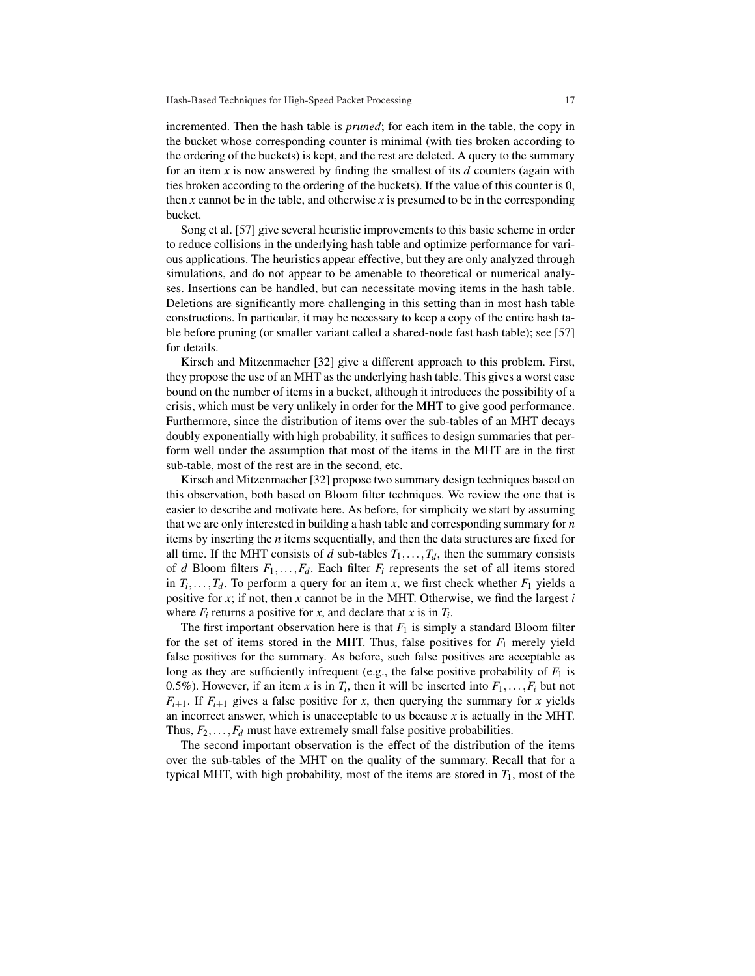incremented. Then the hash table is *pruned*; for each item in the table, the copy in the bucket whose corresponding counter is minimal (with ties broken according to the ordering of the buckets) is kept, and the rest are deleted. A query to the summary for an item *x* is now answered by finding the smallest of its *d* counters (again with ties broken according to the ordering of the buckets). If the value of this counter is 0, then *x* cannot be in the table, and otherwise *x* is presumed to be in the corresponding bucket.

Song et al. [57] give several heuristic improvements to this basic scheme in order to reduce collisions in the underlying hash table and optimize performance for various applications. The heuristics appear effective, but they are only analyzed through simulations, and do not appear to be amenable to theoretical or numerical analyses. Insertions can be handled, but can necessitate moving items in the hash table. Deletions are significantly more challenging in this setting than in most hash table constructions. In particular, it may be necessary to keep a copy of the entire hash table before pruning (or smaller variant called a shared-node fast hash table); see [57] for details.

Kirsch and Mitzenmacher [32] give a different approach to this problem. First, they propose the use of an MHT as the underlying hash table. This gives a worst case bound on the number of items in a bucket, although it introduces the possibility of a crisis, which must be very unlikely in order for the MHT to give good performance. Furthermore, since the distribution of items over the sub-tables of an MHT decays doubly exponentially with high probability, it suffices to design summaries that perform well under the assumption that most of the items in the MHT are in the first sub-table, most of the rest are in the second, etc.

Kirsch and Mitzenmacher [32] propose two summary design techniques based on this observation, both based on Bloom filter techniques. We review the one that is easier to describe and motivate here. As before, for simplicity we start by assuming that we are only interested in building a hash table and corresponding summary for *n* items by inserting the *n* items sequentially, and then the data structures are fixed for all time. If the MHT consists of *d* sub-tables  $T_1, \ldots, T_d$ , then the summary consists of *d* Bloom filters  $F_1, \ldots, F_d$ . Each filter  $F_i$  represents the set of all items stored in  $T_i, \ldots, T_d$ . To perform a query for an item *x*, we first check whether  $F_1$  yields a positive for *x*; if not, then *x* cannot be in the MHT. Otherwise, we find the largest *i* where  $F_i$  returns a positive for *x*, and declare that *x* is in  $T_i$ .

The first important observation here is that  $F_1$  is simply a standard Bloom filter for the set of items stored in the MHT. Thus, false positives for  $F_1$  merely yield false positives for the summary. As before, such false positives are acceptable as long as they are sufficiently infrequent (e.g., the false positive probability of  $F_1$  is 0.5%). However, if an item *x* is in  $T_i$ , then it will be inserted into  $F_1, \ldots, F_i$  but not  $F_{i+1}$ . If  $F_{i+1}$  gives a false positive for *x*, then querying the summary for *x* yields an incorrect answer, which is unacceptable to us because *x* is actually in the MHT. Thus,  $F_2, \ldots, F_d$  must have extremely small false positive probabilities.

The second important observation is the effect of the distribution of the items over the sub-tables of the MHT on the quality of the summary. Recall that for a typical MHT, with high probability, most of the items are stored in *T*1, most of the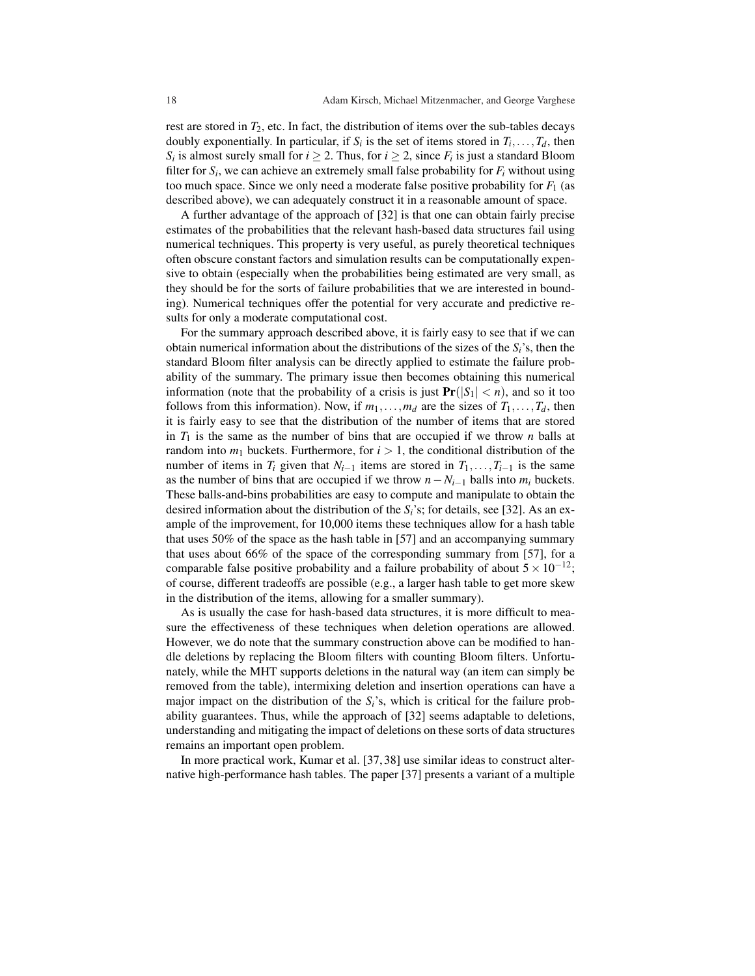rest are stored in  $T_2$ , etc. In fact, the distribution of items over the sub-tables decays doubly exponentially. In particular, if  $S_i$  is the set of items stored in  $T_i, \ldots, T_d$ , then *S*<sup>*i*</sup> is almost surely small for  $i \ge 2$ . Thus, for  $i \ge 2$ , since  $F_i$  is just a standard Bloom filter for *S<sup>i</sup>* , we can achieve an extremely small false probability for *F<sup>i</sup>* without using too much space. Since we only need a moderate false positive probability for *F*<sup>1</sup> (as described above), we can adequately construct it in a reasonable amount of space.

A further advantage of the approach of [32] is that one can obtain fairly precise estimates of the probabilities that the relevant hash-based data structures fail using numerical techniques. This property is very useful, as purely theoretical techniques often obscure constant factors and simulation results can be computationally expensive to obtain (especially when the probabilities being estimated are very small, as they should be for the sorts of failure probabilities that we are interested in bounding). Numerical techniques offer the potential for very accurate and predictive results for only a moderate computational cost.

For the summary approach described above, it is fairly easy to see that if we can obtain numerical information about the distributions of the sizes of the  $S_i$ 's, then the standard Bloom filter analysis can be directly applied to estimate the failure probability of the summary. The primary issue then becomes obtaining this numerical information (note that the probability of a crisis is just  $Pr(|S_1| < n)$ , and so it too follows from this information). Now, if  $m_1, \ldots, m_d$  are the sizes of  $T_1, \ldots, T_d$ , then it is fairly easy to see that the distribution of the number of items that are stored in  $T_1$  is the same as the number of bins that are occupied if we throw *n* balls at random into  $m_1$  buckets. Furthermore, for  $i > 1$ , the conditional distribution of the number of items in  $T_i$  given that  $N_{i-1}$  items are stored in  $T_1, \ldots, T_{i-1}$  is the same as the number of bins that are occupied if we throw  $n - N_{i-1}$  balls into  $m_i$  buckets. These balls-and-bins probabilities are easy to compute and manipulate to obtain the desired information about the distribution of the  $S_i$ 's; for details, see [32]. As an example of the improvement, for 10,000 items these techniques allow for a hash table that uses 50% of the space as the hash table in [57] and an accompanying summary that uses about 66% of the space of the corresponding summary from [57], for a comparable false positive probability and a failure probability of about  $5 \times 10^{-12}$ ; of course, different tradeoffs are possible (e.g., a larger hash table to get more skew in the distribution of the items, allowing for a smaller summary).

As is usually the case for hash-based data structures, it is more difficult to measure the effectiveness of these techniques when deletion operations are allowed. However, we do note that the summary construction above can be modified to handle deletions by replacing the Bloom filters with counting Bloom filters. Unfortunately, while the MHT supports deletions in the natural way (an item can simply be removed from the table), intermixing deletion and insertion operations can have a major impact on the distribution of the  $S_i$ 's, which is critical for the failure probability guarantees. Thus, while the approach of [32] seems adaptable to deletions, understanding and mitigating the impact of deletions on these sorts of data structures remains an important open problem.

In more practical work, Kumar et al. [37, 38] use similar ideas to construct alternative high-performance hash tables. The paper [37] presents a variant of a multiple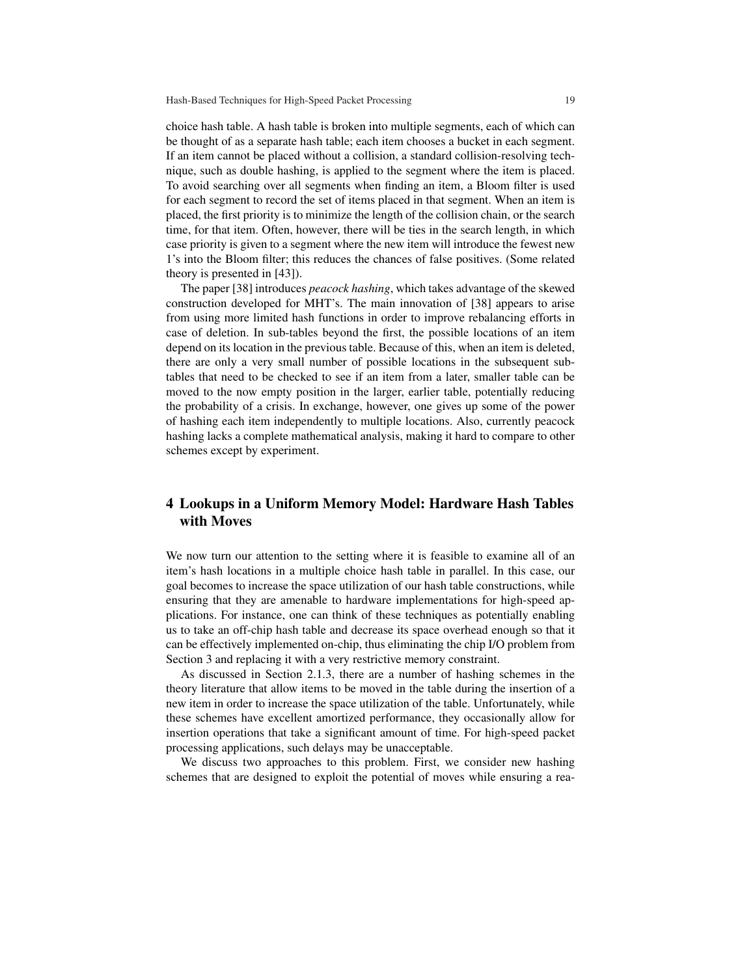choice hash table. A hash table is broken into multiple segments, each of which can be thought of as a separate hash table; each item chooses a bucket in each segment. If an item cannot be placed without a collision, a standard collision-resolving technique, such as double hashing, is applied to the segment where the item is placed. To avoid searching over all segments when finding an item, a Bloom filter is used for each segment to record the set of items placed in that segment. When an item is placed, the first priority is to minimize the length of the collision chain, or the search time, for that item. Often, however, there will be ties in the search length, in which case priority is given to a segment where the new item will introduce the fewest new 1's into the Bloom filter; this reduces the chances of false positives. (Some related theory is presented in [43]).

The paper [38] introduces *peacock hashing*, which takes advantage of the skewed construction developed for MHT's. The main innovation of [38] appears to arise from using more limited hash functions in order to improve rebalancing efforts in case of deletion. In sub-tables beyond the first, the possible locations of an item depend on its location in the previous table. Because of this, when an item is deleted, there are only a very small number of possible locations in the subsequent subtables that need to be checked to see if an item from a later, smaller table can be moved to the now empty position in the larger, earlier table, potentially reducing the probability of a crisis. In exchange, however, one gives up some of the power of hashing each item independently to multiple locations. Also, currently peacock hashing lacks a complete mathematical analysis, making it hard to compare to other schemes except by experiment.

## 4 Lookups in a Uniform Memory Model: Hardware Hash Tables with Moves

We now turn our attention to the setting where it is feasible to examine all of an item's hash locations in a multiple choice hash table in parallel. In this case, our goal becomes to increase the space utilization of our hash table constructions, while ensuring that they are amenable to hardware implementations for high-speed applications. For instance, one can think of these techniques as potentially enabling us to take an off-chip hash table and decrease its space overhead enough so that it can be effectively implemented on-chip, thus eliminating the chip I/O problem from Section 3 and replacing it with a very restrictive memory constraint.

As discussed in Section 2.1.3, there are a number of hashing schemes in the theory literature that allow items to be moved in the table during the insertion of a new item in order to increase the space utilization of the table. Unfortunately, while these schemes have excellent amortized performance, they occasionally allow for insertion operations that take a significant amount of time. For high-speed packet processing applications, such delays may be unacceptable.

We discuss two approaches to this problem. First, we consider new hashing schemes that are designed to exploit the potential of moves while ensuring a rea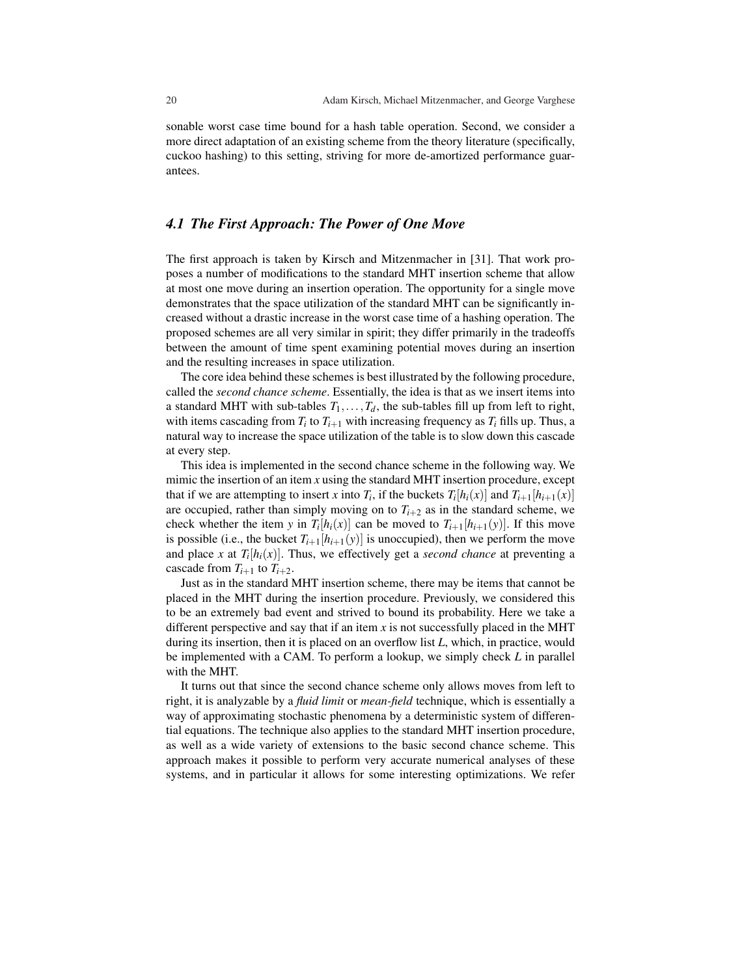sonable worst case time bound for a hash table operation. Second, we consider a more direct adaptation of an existing scheme from the theory literature (specifically, cuckoo hashing) to this setting, striving for more de-amortized performance guarantees.

#### *4.1 The First Approach: The Power of One Move*

The first approach is taken by Kirsch and Mitzenmacher in [31]. That work proposes a number of modifications to the standard MHT insertion scheme that allow at most one move during an insertion operation. The opportunity for a single move demonstrates that the space utilization of the standard MHT can be significantly increased without a drastic increase in the worst case time of a hashing operation. The proposed schemes are all very similar in spirit; they differ primarily in the tradeoffs between the amount of time spent examining potential moves during an insertion and the resulting increases in space utilization.

The core idea behind these schemes is best illustrated by the following procedure, called the *second chance scheme*. Essentially, the idea is that as we insert items into a standard MHT with sub-tables  $T_1, \ldots, T_d$ , the sub-tables fill up from left to right, with items cascading from  $T_i$  to  $T_{i+1}$  with increasing frequency as  $T_i$  fills up. Thus, a natural way to increase the space utilization of the table is to slow down this cascade at every step.

This idea is implemented in the second chance scheme in the following way. We mimic the insertion of an item *x* using the standard MHT insertion procedure, except that if we are attempting to insert *x* into  $T_i$ , if the buckets  $T_i[h_i(x)]$  and  $T_{i+1}[h_{i+1}(x)]$ are occupied, rather than simply moving on to  $T_{i+2}$  as in the standard scheme, we check whether the item *y* in  $T_i[h_i(x)]$  can be moved to  $T_{i+1}[h_{i+1}(y)]$ . If this move is possible (i.e., the bucket  $T_{i+1}[h_{i+1}(y)]$  is unoccupied), then we perform the move and place *x* at  $T_i[h_i(x)]$ . Thus, we effectively get a *second chance* at preventing a cascade from  $T_{i+1}$  to  $T_{i+2}$ .

Just as in the standard MHT insertion scheme, there may be items that cannot be placed in the MHT during the insertion procedure. Previously, we considered this to be an extremely bad event and strived to bound its probability. Here we take a different perspective and say that if an item *x* is not successfully placed in the MHT during its insertion, then it is placed on an overflow list *L*, which, in practice, would be implemented with a CAM. To perform a lookup, we simply check *L* in parallel with the MHT.

It turns out that since the second chance scheme only allows moves from left to right, it is analyzable by a *fluid limit* or *mean-field* technique, which is essentially a way of approximating stochastic phenomena by a deterministic system of differential equations. The technique also applies to the standard MHT insertion procedure, as well as a wide variety of extensions to the basic second chance scheme. This approach makes it possible to perform very accurate numerical analyses of these systems, and in particular it allows for some interesting optimizations. We refer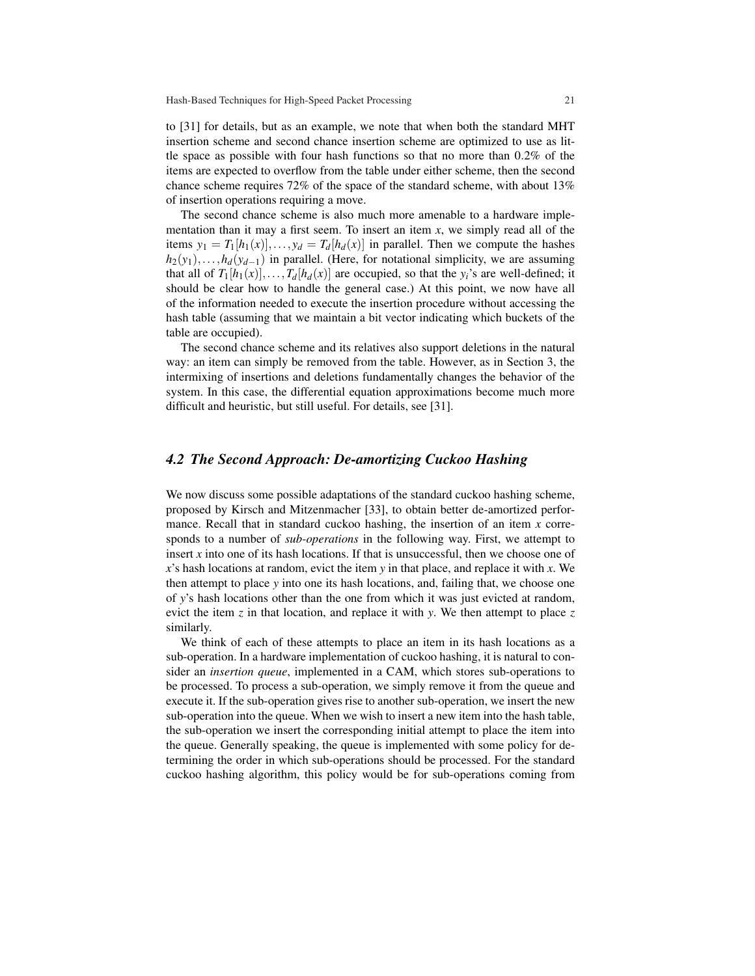to [31] for details, but as an example, we note that when both the standard MHT insertion scheme and second chance insertion scheme are optimized to use as little space as possible with four hash functions so that no more than 0.2% of the items are expected to overflow from the table under either scheme, then the second chance scheme requires 72% of the space of the standard scheme, with about 13% of insertion operations requiring a move.

The second chance scheme is also much more amenable to a hardware implementation than it may a first seem. To insert an item  $x$ , we simply read all of the items  $y_1 = T_1[h_1(x)], \ldots, y_d = T_d[h_d(x)]$  in parallel. Then we compute the hashes  $h_2(y_1),\ldots,h_d(y_{d-1})$  in parallel. (Here, for notational simplicity, we are assuming that all of  $T_1[h_1(x)],...,T_d[h_d(x)]$  are occupied, so that the  $y_i$ 's are well-defined; it should be clear how to handle the general case.) At this point, we now have all of the information needed to execute the insertion procedure without accessing the hash table (assuming that we maintain a bit vector indicating which buckets of the table are occupied).

The second chance scheme and its relatives also support deletions in the natural way: an item can simply be removed from the table. However, as in Section 3, the intermixing of insertions and deletions fundamentally changes the behavior of the system. In this case, the differential equation approximations become much more difficult and heuristic, but still useful. For details, see [31].

#### *4.2 The Second Approach: De-amortizing Cuckoo Hashing*

We now discuss some possible adaptations of the standard cuckoo hashing scheme, proposed by Kirsch and Mitzenmacher [33], to obtain better de-amortized performance. Recall that in standard cuckoo hashing, the insertion of an item *x* corresponds to a number of *sub-operations* in the following way. First, we attempt to insert  $x$  into one of its hash locations. If that is unsuccessful, then we choose one of *x*'s hash locations at random, evict the item *y* in that place, and replace it with *x*. We then attempt to place *y* into one its hash locations, and, failing that, we choose one of *y*'s hash locations other than the one from which it was just evicted at random, evict the item  $\zeta$  in that location, and replace it with  $\gamma$ . We then attempt to place  $\zeta$ similarly.

We think of each of these attempts to place an item in its hash locations as a sub-operation. In a hardware implementation of cuckoo hashing, it is natural to consider an *insertion queue*, implemented in a CAM, which stores sub-operations to be processed. To process a sub-operation, we simply remove it from the queue and execute it. If the sub-operation gives rise to another sub-operation, we insert the new sub-operation into the queue. When we wish to insert a new item into the hash table, the sub-operation we insert the corresponding initial attempt to place the item into the queue. Generally speaking, the queue is implemented with some policy for determining the order in which sub-operations should be processed. For the standard cuckoo hashing algorithm, this policy would be for sub-operations coming from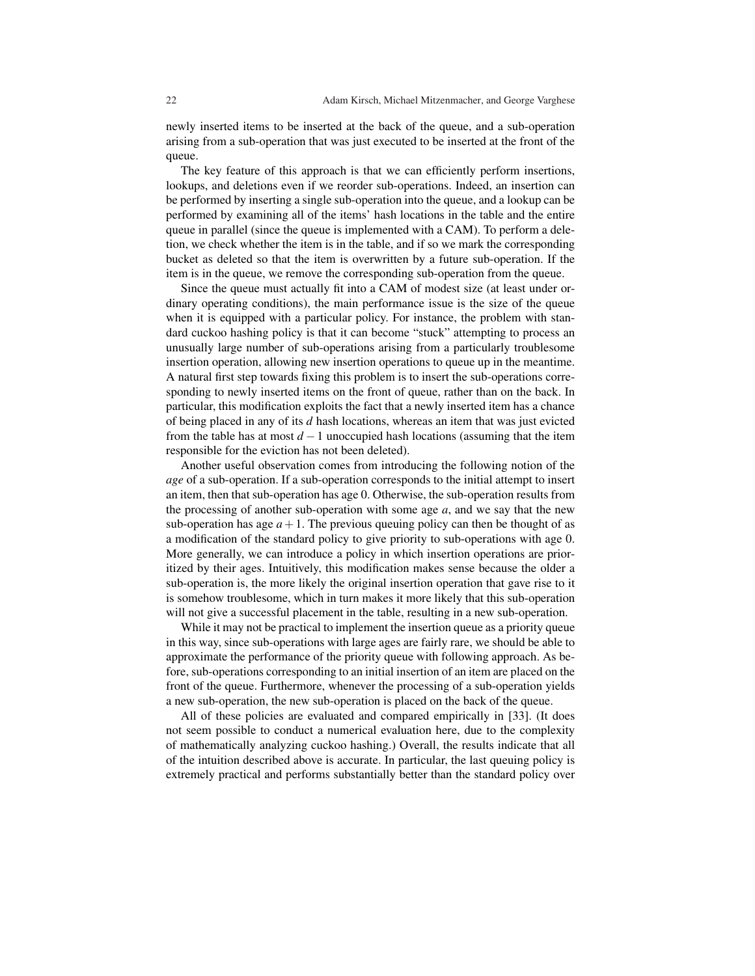newly inserted items to be inserted at the back of the queue, and a sub-operation arising from a sub-operation that was just executed to be inserted at the front of the queue.

The key feature of this approach is that we can efficiently perform insertions, lookups, and deletions even if we reorder sub-operations. Indeed, an insertion can be performed by inserting a single sub-operation into the queue, and a lookup can be performed by examining all of the items' hash locations in the table and the entire queue in parallel (since the queue is implemented with a CAM). To perform a deletion, we check whether the item is in the table, and if so we mark the corresponding bucket as deleted so that the item is overwritten by a future sub-operation. If the item is in the queue, we remove the corresponding sub-operation from the queue.

Since the queue must actually fit into a CAM of modest size (at least under ordinary operating conditions), the main performance issue is the size of the queue when it is equipped with a particular policy. For instance, the problem with standard cuckoo hashing policy is that it can become "stuck" attempting to process an unusually large number of sub-operations arising from a particularly troublesome insertion operation, allowing new insertion operations to queue up in the meantime. A natural first step towards fixing this problem is to insert the sub-operations corresponding to newly inserted items on the front of queue, rather than on the back. In particular, this modification exploits the fact that a newly inserted item has a chance of being placed in any of its *d* hash locations, whereas an item that was just evicted from the table has at most  $d-1$  unoccupied hash locations (assuming that the item responsible for the eviction has not been deleted).

Another useful observation comes from introducing the following notion of the *age* of a sub-operation. If a sub-operation corresponds to the initial attempt to insert an item, then that sub-operation has age 0. Otherwise, the sub-operation results from the processing of another sub-operation with some age *a*, and we say that the new sub-operation has age  $a+1$ . The previous queuing policy can then be thought of as a modification of the standard policy to give priority to sub-operations with age 0. More generally, we can introduce a policy in which insertion operations are prioritized by their ages. Intuitively, this modification makes sense because the older a sub-operation is, the more likely the original insertion operation that gave rise to it is somehow troublesome, which in turn makes it more likely that this sub-operation will not give a successful placement in the table, resulting in a new sub-operation.

While it may not be practical to implement the insertion queue as a priority queue in this way, since sub-operations with large ages are fairly rare, we should be able to approximate the performance of the priority queue with following approach. As before, sub-operations corresponding to an initial insertion of an item are placed on the front of the queue. Furthermore, whenever the processing of a sub-operation yields a new sub-operation, the new sub-operation is placed on the back of the queue.

All of these policies are evaluated and compared empirically in [33]. (It does not seem possible to conduct a numerical evaluation here, due to the complexity of mathematically analyzing cuckoo hashing.) Overall, the results indicate that all of the intuition described above is accurate. In particular, the last queuing policy is extremely practical and performs substantially better than the standard policy over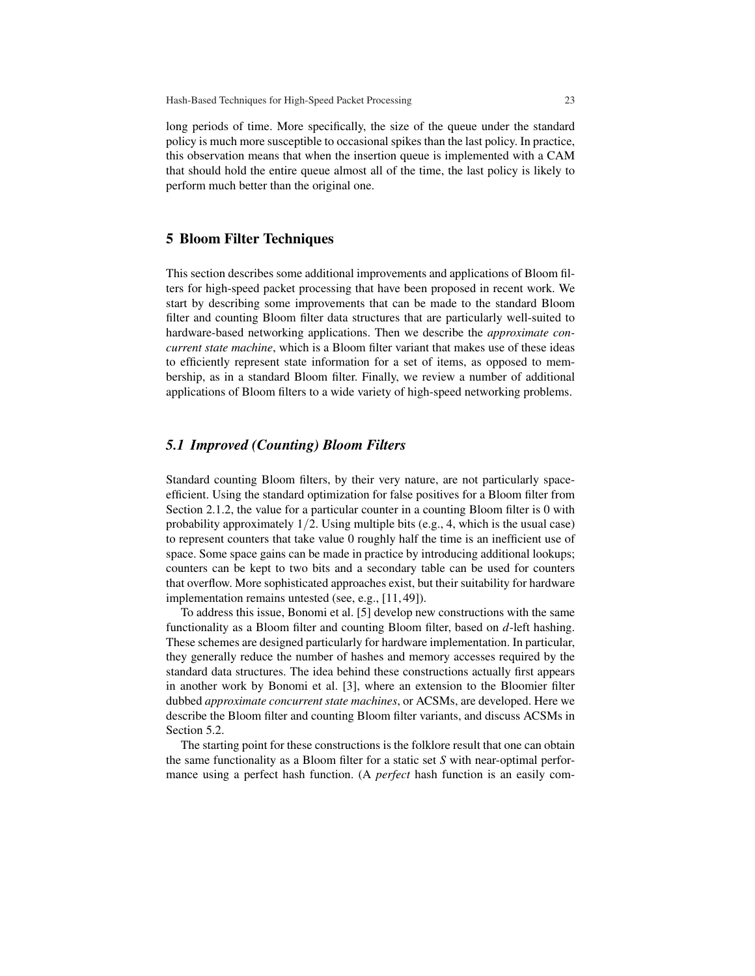long periods of time. More specifically, the size of the queue under the standard policy is much more susceptible to occasional spikes than the last policy. In practice, this observation means that when the insertion queue is implemented with a CAM that should hold the entire queue almost all of the time, the last policy is likely to perform much better than the original one.

### 5 Bloom Filter Techniques

This section describes some additional improvements and applications of Bloom filters for high-speed packet processing that have been proposed in recent work. We start by describing some improvements that can be made to the standard Bloom filter and counting Bloom filter data structures that are particularly well-suited to hardware-based networking applications. Then we describe the *approximate concurrent state machine*, which is a Bloom filter variant that makes use of these ideas to efficiently represent state information for a set of items, as opposed to membership, as in a standard Bloom filter. Finally, we review a number of additional applications of Bloom filters to a wide variety of high-speed networking problems.

#### *5.1 Improved (Counting) Bloom Filters*

Standard counting Bloom filters, by their very nature, are not particularly spaceefficient. Using the standard optimization for false positives for a Bloom filter from Section 2.1.2, the value for a particular counter in a counting Bloom filter is 0 with probability approximately  $1/2$ . Using multiple bits (e.g., 4, which is the usual case) to represent counters that take value 0 roughly half the time is an inefficient use of space. Some space gains can be made in practice by introducing additional lookups; counters can be kept to two bits and a secondary table can be used for counters that overflow. More sophisticated approaches exist, but their suitability for hardware implementation remains untested (see, e.g., [11, 49]).

To address this issue, Bonomi et al. [5] develop new constructions with the same functionality as a Bloom filter and counting Bloom filter, based on *d*-left hashing. These schemes are designed particularly for hardware implementation. In particular, they generally reduce the number of hashes and memory accesses required by the standard data structures. The idea behind these constructions actually first appears in another work by Bonomi et al. [3], where an extension to the Bloomier filter dubbed *approximate concurrent state machines*, or ACSMs, are developed. Here we describe the Bloom filter and counting Bloom filter variants, and discuss ACSMs in Section 5.2.

The starting point for these constructions is the folklore result that one can obtain the same functionality as a Bloom filter for a static set *S* with near-optimal performance using a perfect hash function. (A *perfect* hash function is an easily com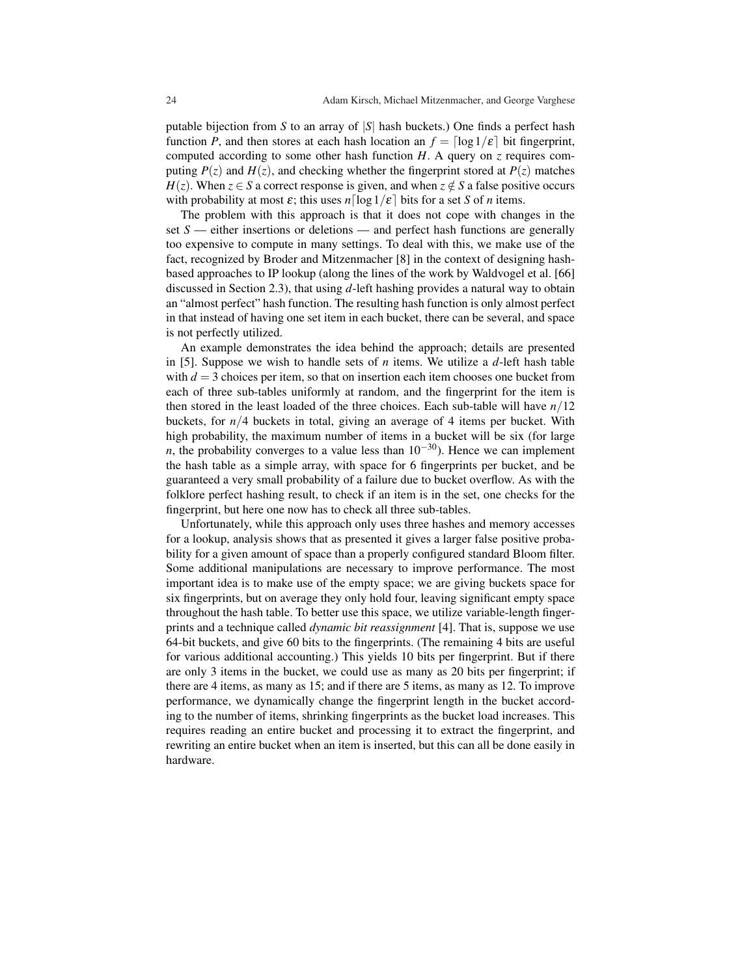putable bijection from *S* to an array of |*S*| hash buckets.) One finds a perfect hash function *P*, and then stores at each hash location an  $f = \lfloor \log 1/\varepsilon \rfloor$  bit fingerprint, computed according to some other hash function  $H$ . A query on  $z$  requires computing  $P(z)$  and  $H(z)$ , and checking whether the fingerprint stored at  $P(z)$  matches  $H(z)$ . When  $z \in S$  a correct response is given, and when  $z \notin S$  a false positive occurs with probability at most  $\varepsilon$ ; this uses  $n \log 1/\varepsilon$  bits for a set *S* of *n* items.

The problem with this approach is that it does not cope with changes in the set *S* — either insertions or deletions — and perfect hash functions are generally too expensive to compute in many settings. To deal with this, we make use of the fact, recognized by Broder and Mitzenmacher [8] in the context of designing hashbased approaches to IP lookup (along the lines of the work by Waldvogel et al. [66] discussed in Section 2.3), that using *d*-left hashing provides a natural way to obtain an "almost perfect" hash function. The resulting hash function is only almost perfect in that instead of having one set item in each bucket, there can be several, and space is not perfectly utilized.

An example demonstrates the idea behind the approach; details are presented in [5]. Suppose we wish to handle sets of *n* items. We utilize a *d*-left hash table with  $d = 3$  choices per item, so that on insertion each item chooses one bucket from each of three sub-tables uniformly at random, and the fingerprint for the item is then stored in the least loaded of the three choices. Each sub-table will have *n*/12 buckets, for *n*/4 buckets in total, giving an average of 4 items per bucket. With high probability, the maximum number of items in a bucket will be six (for large *n*, the probability converges to a value less than  $10^{-30}$ ). Hence we can implement the hash table as a simple array, with space for 6 fingerprints per bucket, and be guaranteed a very small probability of a failure due to bucket overflow. As with the folklore perfect hashing result, to check if an item is in the set, one checks for the fingerprint, but here one now has to check all three sub-tables.

Unfortunately, while this approach only uses three hashes and memory accesses for a lookup, analysis shows that as presented it gives a larger false positive probability for a given amount of space than a properly configured standard Bloom filter. Some additional manipulations are necessary to improve performance. The most important idea is to make use of the empty space; we are giving buckets space for six fingerprints, but on average they only hold four, leaving significant empty space throughout the hash table. To better use this space, we utilize variable-length fingerprints and a technique called *dynamic bit reassignment* [4]. That is, suppose we use 64-bit buckets, and give 60 bits to the fingerprints. (The remaining 4 bits are useful for various additional accounting.) This yields 10 bits per fingerprint. But if there are only 3 items in the bucket, we could use as many as 20 bits per fingerprint; if there are 4 items, as many as 15; and if there are 5 items, as many as 12. To improve performance, we dynamically change the fingerprint length in the bucket according to the number of items, shrinking fingerprints as the bucket load increases. This requires reading an entire bucket and processing it to extract the fingerprint, and rewriting an entire bucket when an item is inserted, but this can all be done easily in hardware.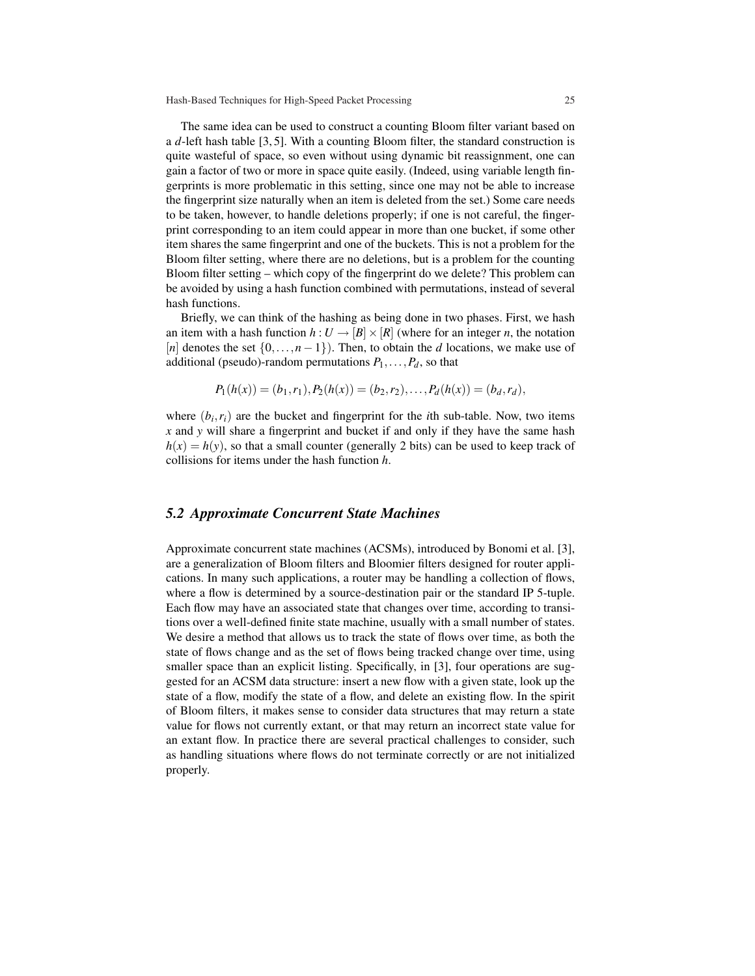Hash-Based Techniques for High-Speed Packet Processing 25

The same idea can be used to construct a counting Bloom filter variant based on a *d*-left hash table [3, 5]. With a counting Bloom filter, the standard construction is quite wasteful of space, so even without using dynamic bit reassignment, one can gain a factor of two or more in space quite easily. (Indeed, using variable length fingerprints is more problematic in this setting, since one may not be able to increase the fingerprint size naturally when an item is deleted from the set.) Some care needs to be taken, however, to handle deletions properly; if one is not careful, the fingerprint corresponding to an item could appear in more than one bucket, if some other item shares the same fingerprint and one of the buckets. This is not a problem for the Bloom filter setting, where there are no deletions, but is a problem for the counting Bloom filter setting – which copy of the fingerprint do we delete? This problem can be avoided by using a hash function combined with permutations, instead of several hash functions.

Briefly, we can think of the hashing as being done in two phases. First, we hash an item with a hash function  $h: U \to [B] \times [R]$  (where for an integer *n*, the notation [*n*] denotes the set {0,...,*n*−1}). Then, to obtain the *d* locations, we make use of additional (pseudo)-random permutations  $P_1, \ldots, P_d$ , so that

$$
P_1(h(x)) = (b_1, r_1), P_2(h(x)) = (b_2, r_2), \dots, P_d(h(x)) = (b_d, r_d),
$$

where  $(b_i, r_i)$  are the bucket and fingerprint for the *i*th sub-table. Now, two items *x* and *y* will share a fingerprint and bucket if and only if they have the same hash  $h(x) = h(y)$ , so that a small counter (generally 2 bits) can be used to keep track of collisions for items under the hash function *h*.

#### *5.2 Approximate Concurrent State Machines*

Approximate concurrent state machines (ACSMs), introduced by Bonomi et al. [3], are a generalization of Bloom filters and Bloomier filters designed for router applications. In many such applications, a router may be handling a collection of flows, where a flow is determined by a source-destination pair or the standard IP 5-tuple. Each flow may have an associated state that changes over time, according to transitions over a well-defined finite state machine, usually with a small number of states. We desire a method that allows us to track the state of flows over time, as both the state of flows change and as the set of flows being tracked change over time, using smaller space than an explicit listing. Specifically, in [3], four operations are suggested for an ACSM data structure: insert a new flow with a given state, look up the state of a flow, modify the state of a flow, and delete an existing flow. In the spirit of Bloom filters, it makes sense to consider data structures that may return a state value for flows not currently extant, or that may return an incorrect state value for an extant flow. In practice there are several practical challenges to consider, such as handling situations where flows do not terminate correctly or are not initialized properly.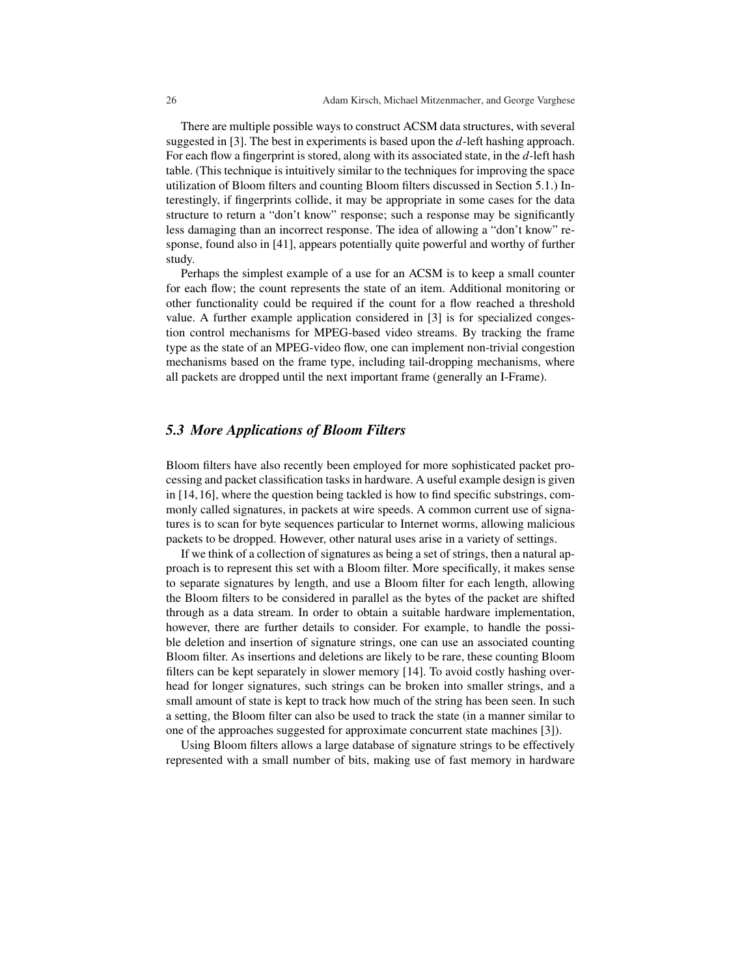There are multiple possible ways to construct ACSM data structures, with several suggested in [3]. The best in experiments is based upon the *d*-left hashing approach. For each flow a fingerprint is stored, along with its associated state, in the *d*-left hash table. (This technique is intuitively similar to the techniques for improving the space utilization of Bloom filters and counting Bloom filters discussed in Section 5.1.) Interestingly, if fingerprints collide, it may be appropriate in some cases for the data structure to return a "don't know" response; such a response may be significantly less damaging than an incorrect response. The idea of allowing a "don't know" response, found also in [41], appears potentially quite powerful and worthy of further study.

Perhaps the simplest example of a use for an ACSM is to keep a small counter for each flow; the count represents the state of an item. Additional monitoring or other functionality could be required if the count for a flow reached a threshold value. A further example application considered in [3] is for specialized congestion control mechanisms for MPEG-based video streams. By tracking the frame type as the state of an MPEG-video flow, one can implement non-trivial congestion mechanisms based on the frame type, including tail-dropping mechanisms, where all packets are dropped until the next important frame (generally an I-Frame).

#### *5.3 More Applications of Bloom Filters*

Bloom filters have also recently been employed for more sophisticated packet processing and packet classification tasks in hardware. A useful example design is given in [14,16], where the question being tackled is how to find specific substrings, commonly called signatures, in packets at wire speeds. A common current use of signatures is to scan for byte sequences particular to Internet worms, allowing malicious packets to be dropped. However, other natural uses arise in a variety of settings.

If we think of a collection of signatures as being a set of strings, then a natural approach is to represent this set with a Bloom filter. More specifically, it makes sense to separate signatures by length, and use a Bloom filter for each length, allowing the Bloom filters to be considered in parallel as the bytes of the packet are shifted through as a data stream. In order to obtain a suitable hardware implementation, however, there are further details to consider. For example, to handle the possible deletion and insertion of signature strings, one can use an associated counting Bloom filter. As insertions and deletions are likely to be rare, these counting Bloom filters can be kept separately in slower memory [14]. To avoid costly hashing overhead for longer signatures, such strings can be broken into smaller strings, and a small amount of state is kept to track how much of the string has been seen. In such a setting, the Bloom filter can also be used to track the state (in a manner similar to one of the approaches suggested for approximate concurrent state machines [3]).

Using Bloom filters allows a large database of signature strings to be effectively represented with a small number of bits, making use of fast memory in hardware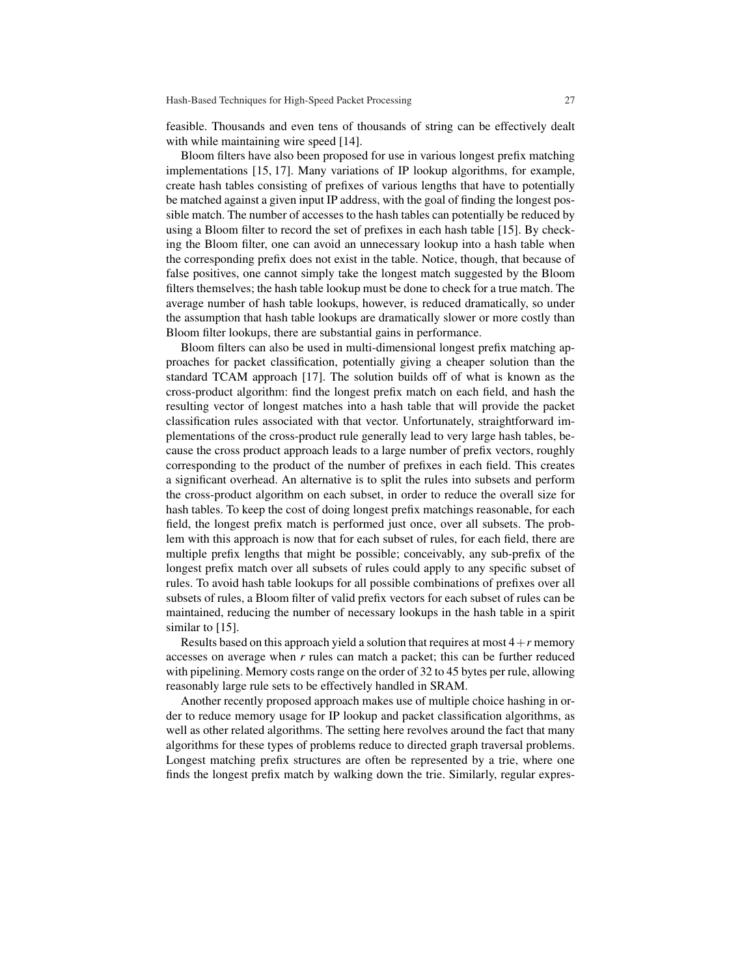feasible. Thousands and even tens of thousands of string can be effectively dealt with while maintaining wire speed [14].

Bloom filters have also been proposed for use in various longest prefix matching implementations [15, 17]. Many variations of IP lookup algorithms, for example, create hash tables consisting of prefixes of various lengths that have to potentially be matched against a given input IP address, with the goal of finding the longest possible match. The number of accesses to the hash tables can potentially be reduced by using a Bloom filter to record the set of prefixes in each hash table [15]. By checking the Bloom filter, one can avoid an unnecessary lookup into a hash table when the corresponding prefix does not exist in the table. Notice, though, that because of false positives, one cannot simply take the longest match suggested by the Bloom filters themselves; the hash table lookup must be done to check for a true match. The average number of hash table lookups, however, is reduced dramatically, so under the assumption that hash table lookups are dramatically slower or more costly than Bloom filter lookups, there are substantial gains in performance.

Bloom filters can also be used in multi-dimensional longest prefix matching approaches for packet classification, potentially giving a cheaper solution than the standard TCAM approach [17]. The solution builds off of what is known as the cross-product algorithm: find the longest prefix match on each field, and hash the resulting vector of longest matches into a hash table that will provide the packet classification rules associated with that vector. Unfortunately, straightforward implementations of the cross-product rule generally lead to very large hash tables, because the cross product approach leads to a large number of prefix vectors, roughly corresponding to the product of the number of prefixes in each field. This creates a significant overhead. An alternative is to split the rules into subsets and perform the cross-product algorithm on each subset, in order to reduce the overall size for hash tables. To keep the cost of doing longest prefix matchings reasonable, for each field, the longest prefix match is performed just once, over all subsets. The problem with this approach is now that for each subset of rules, for each field, there are multiple prefix lengths that might be possible; conceivably, any sub-prefix of the longest prefix match over all subsets of rules could apply to any specific subset of rules. To avoid hash table lookups for all possible combinations of prefixes over all subsets of rules, a Bloom filter of valid prefix vectors for each subset of rules can be maintained, reducing the number of necessary lookups in the hash table in a spirit similar to [15].

Results based on this approach yield a solution that requires at most  $4+r$  memory accesses on average when *r* rules can match a packet; this can be further reduced with pipelining. Memory costs range on the order of 32 to 45 bytes per rule, allowing reasonably large rule sets to be effectively handled in SRAM.

Another recently proposed approach makes use of multiple choice hashing in order to reduce memory usage for IP lookup and packet classification algorithms, as well as other related algorithms. The setting here revolves around the fact that many algorithms for these types of problems reduce to directed graph traversal problems. Longest matching prefix structures are often be represented by a trie, where one finds the longest prefix match by walking down the trie. Similarly, regular expres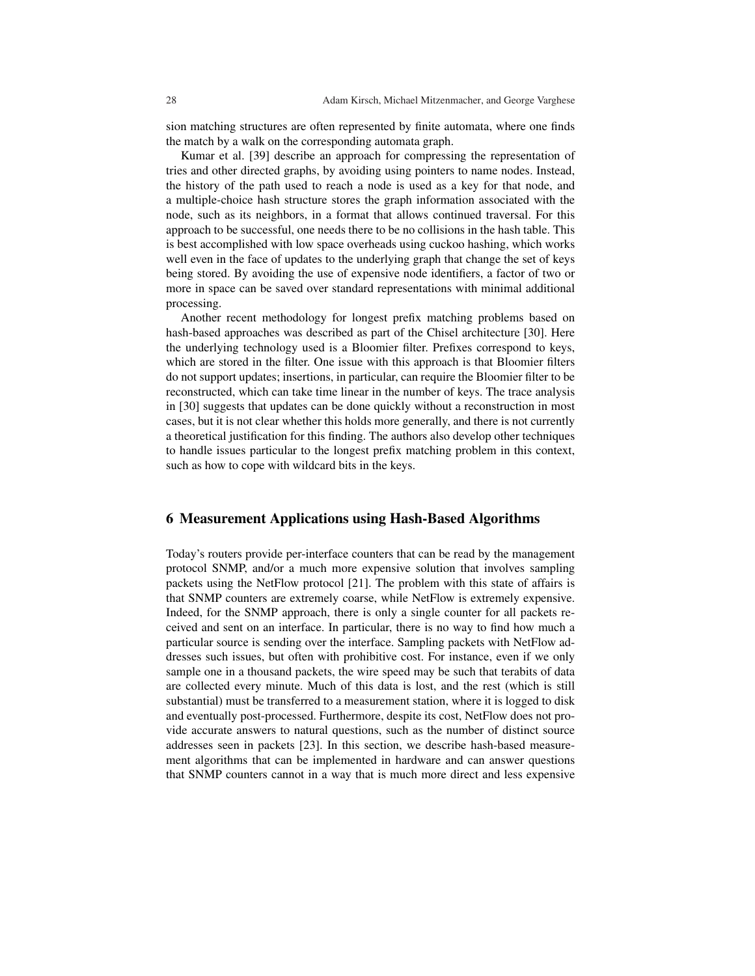sion matching structures are often represented by finite automata, where one finds the match by a walk on the corresponding automata graph.

Kumar et al. [39] describe an approach for compressing the representation of tries and other directed graphs, by avoiding using pointers to name nodes. Instead, the history of the path used to reach a node is used as a key for that node, and a multiple-choice hash structure stores the graph information associated with the node, such as its neighbors, in a format that allows continued traversal. For this approach to be successful, one needs there to be no collisions in the hash table. This is best accomplished with low space overheads using cuckoo hashing, which works well even in the face of updates to the underlying graph that change the set of keys being stored. By avoiding the use of expensive node identifiers, a factor of two or more in space can be saved over standard representations with minimal additional processing.

Another recent methodology for longest prefix matching problems based on hash-based approaches was described as part of the Chisel architecture [30]. Here the underlying technology used is a Bloomier filter. Prefixes correspond to keys, which are stored in the filter. One issue with this approach is that Bloomier filters do not support updates; insertions, in particular, can require the Bloomier filter to be reconstructed, which can take time linear in the number of keys. The trace analysis in [30] suggests that updates can be done quickly without a reconstruction in most cases, but it is not clear whether this holds more generally, and there is not currently a theoretical justification for this finding. The authors also develop other techniques to handle issues particular to the longest prefix matching problem in this context, such as how to cope with wildcard bits in the keys.

### 6 Measurement Applications using Hash-Based Algorithms

Today's routers provide per-interface counters that can be read by the management protocol SNMP, and/or a much more expensive solution that involves sampling packets using the NetFlow protocol [21]. The problem with this state of affairs is that SNMP counters are extremely coarse, while NetFlow is extremely expensive. Indeed, for the SNMP approach, there is only a single counter for all packets received and sent on an interface. In particular, there is no way to find how much a particular source is sending over the interface. Sampling packets with NetFlow addresses such issues, but often with prohibitive cost. For instance, even if we only sample one in a thousand packets, the wire speed may be such that terabits of data are collected every minute. Much of this data is lost, and the rest (which is still substantial) must be transferred to a measurement station, where it is logged to disk and eventually post-processed. Furthermore, despite its cost, NetFlow does not provide accurate answers to natural questions, such as the number of distinct source addresses seen in packets [23]. In this section, we describe hash-based measurement algorithms that can be implemented in hardware and can answer questions that SNMP counters cannot in a way that is much more direct and less expensive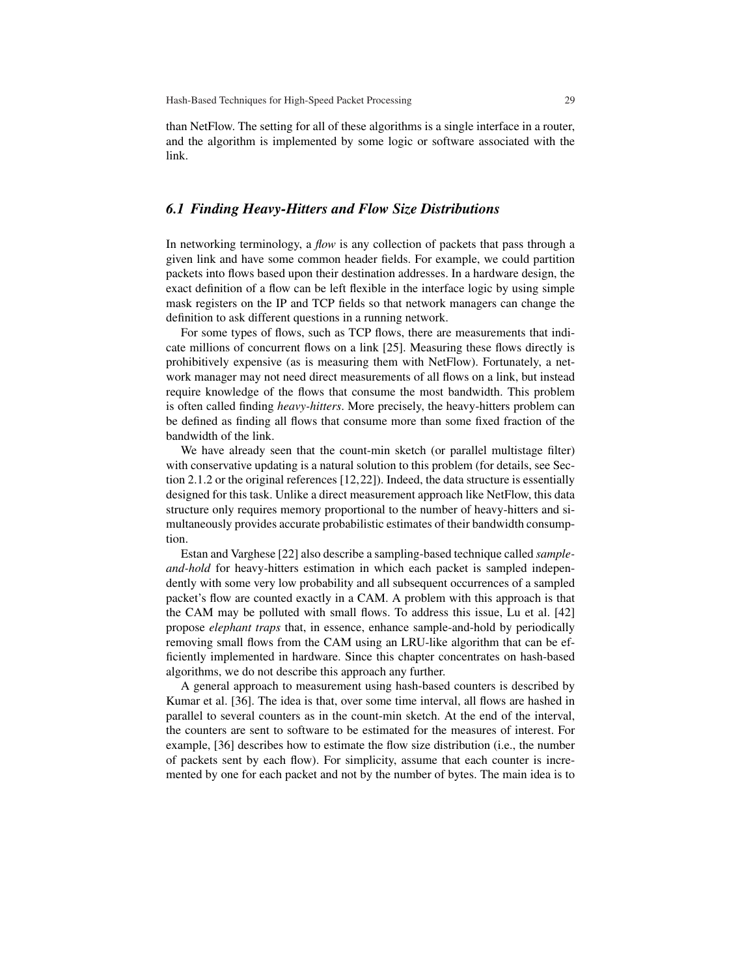than NetFlow. The setting for all of these algorithms is a single interface in a router, and the algorithm is implemented by some logic or software associated with the link.

#### *6.1 Finding Heavy-Hitters and Flow Size Distributions*

In networking terminology, a *flow* is any collection of packets that pass through a given link and have some common header fields. For example, we could partition packets into flows based upon their destination addresses. In a hardware design, the exact definition of a flow can be left flexible in the interface logic by using simple mask registers on the IP and TCP fields so that network managers can change the definition to ask different questions in a running network.

For some types of flows, such as TCP flows, there are measurements that indicate millions of concurrent flows on a link [25]. Measuring these flows directly is prohibitively expensive (as is measuring them with NetFlow). Fortunately, a network manager may not need direct measurements of all flows on a link, but instead require knowledge of the flows that consume the most bandwidth. This problem is often called finding *heavy-hitters*. More precisely, the heavy-hitters problem can be defined as finding all flows that consume more than some fixed fraction of the bandwidth of the link.

We have already seen that the count-min sketch (or parallel multistage filter) with conservative updating is a natural solution to this problem (for details, see Section 2.1.2 or the original references [12,22]). Indeed, the data structure is essentially designed for this task. Unlike a direct measurement approach like NetFlow, this data structure only requires memory proportional to the number of heavy-hitters and simultaneously provides accurate probabilistic estimates of their bandwidth consumption.

Estan and Varghese [22] also describe a sampling-based technique called *sampleand-hold* for heavy-hitters estimation in which each packet is sampled independently with some very low probability and all subsequent occurrences of a sampled packet's flow are counted exactly in a CAM. A problem with this approach is that the CAM may be polluted with small flows. To address this issue, Lu et al. [42] propose *elephant traps* that, in essence, enhance sample-and-hold by periodically removing small flows from the CAM using an LRU-like algorithm that can be efficiently implemented in hardware. Since this chapter concentrates on hash-based algorithms, we do not describe this approach any further.

A general approach to measurement using hash-based counters is described by Kumar et al. [36]. The idea is that, over some time interval, all flows are hashed in parallel to several counters as in the count-min sketch. At the end of the interval, the counters are sent to software to be estimated for the measures of interest. For example, [36] describes how to estimate the flow size distribution (i.e., the number of packets sent by each flow). For simplicity, assume that each counter is incremented by one for each packet and not by the number of bytes. The main idea is to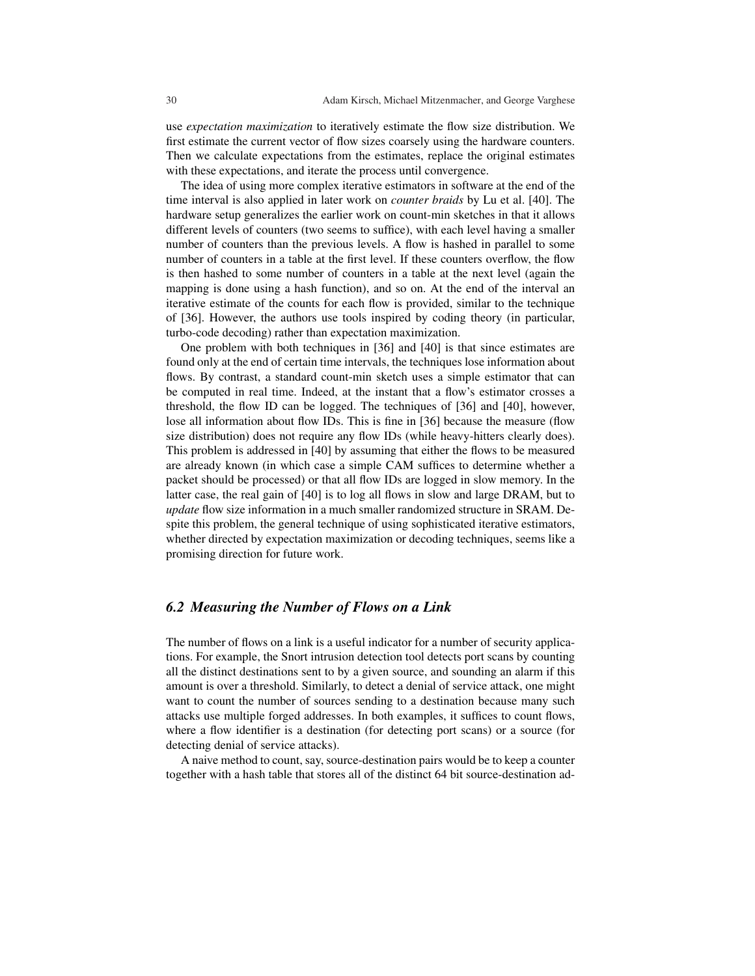use *expectation maximization* to iteratively estimate the flow size distribution. We first estimate the current vector of flow sizes coarsely using the hardware counters. Then we calculate expectations from the estimates, replace the original estimates with these expectations, and iterate the process until convergence.

The idea of using more complex iterative estimators in software at the end of the time interval is also applied in later work on *counter braids* by Lu et al. [40]. The hardware setup generalizes the earlier work on count-min sketches in that it allows different levels of counters (two seems to suffice), with each level having a smaller number of counters than the previous levels. A flow is hashed in parallel to some number of counters in a table at the first level. If these counters overflow, the flow is then hashed to some number of counters in a table at the next level (again the mapping is done using a hash function), and so on. At the end of the interval an iterative estimate of the counts for each flow is provided, similar to the technique of [36]. However, the authors use tools inspired by coding theory (in particular, turbo-code decoding) rather than expectation maximization.

One problem with both techniques in [36] and [40] is that since estimates are found only at the end of certain time intervals, the techniques lose information about flows. By contrast, a standard count-min sketch uses a simple estimator that can be computed in real time. Indeed, at the instant that a flow's estimator crosses a threshold, the flow ID can be logged. The techniques of [36] and [40], however, lose all information about flow IDs. This is fine in [36] because the measure (flow size distribution) does not require any flow IDs (while heavy-hitters clearly does). This problem is addressed in [40] by assuming that either the flows to be measured are already known (in which case a simple CAM suffices to determine whether a packet should be processed) or that all flow IDs are logged in slow memory. In the latter case, the real gain of [40] is to log all flows in slow and large DRAM, but to *update* flow size information in a much smaller randomized structure in SRAM. Despite this problem, the general technique of using sophisticated iterative estimators, whether directed by expectation maximization or decoding techniques, seems like a promising direction for future work.

### *6.2 Measuring the Number of Flows on a Link*

The number of flows on a link is a useful indicator for a number of security applications. For example, the Snort intrusion detection tool detects port scans by counting all the distinct destinations sent to by a given source, and sounding an alarm if this amount is over a threshold. Similarly, to detect a denial of service attack, one might want to count the number of sources sending to a destination because many such attacks use multiple forged addresses. In both examples, it suffices to count flows, where a flow identifier is a destination (for detecting port scans) or a source (for detecting denial of service attacks).

A naive method to count, say, source-destination pairs would be to keep a counter together with a hash table that stores all of the distinct 64 bit source-destination ad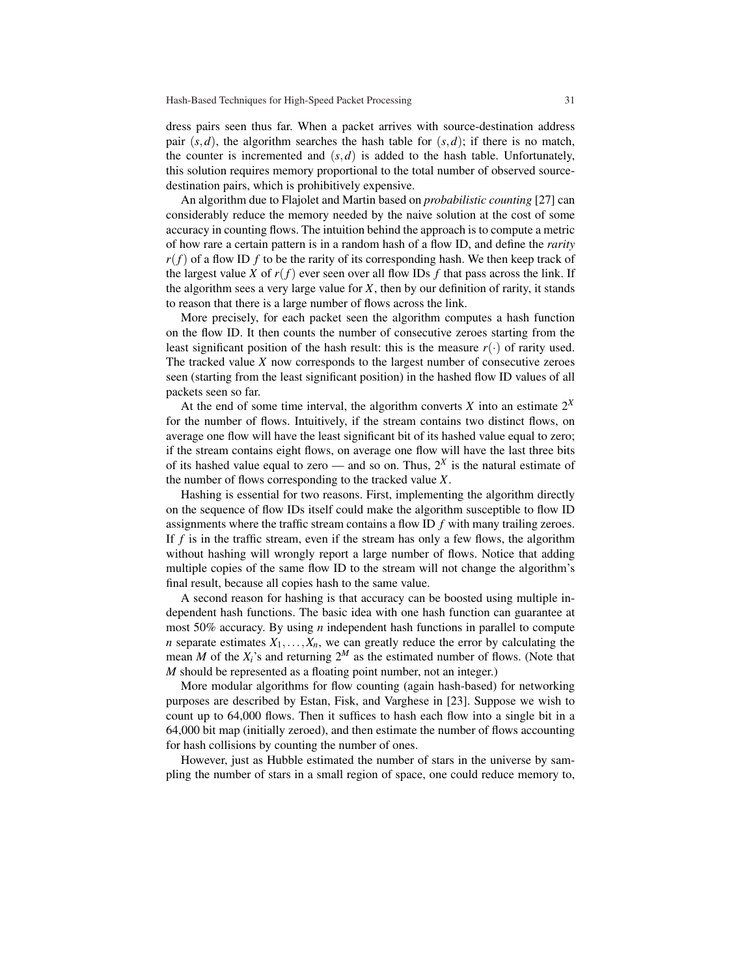dress pairs seen thus far. When a packet arrives with source-destination address pair  $(s, d)$ , the algorithm searches the hash table for  $(s, d)$ ; if there is no match, the counter is incremented and  $(s,d)$  is added to the hash table. Unfortunately, this solution requires memory proportional to the total number of observed sourcedestination pairs, which is prohibitively expensive.

An algorithm due to Flajolet and Martin based on *probabilistic counting* [27] can considerably reduce the memory needed by the naive solution at the cost of some accuracy in counting flows. The intuition behind the approach is to compute a metric of how rare a certain pattern is in a random hash of a flow ID, and define the *rarity*  $r(f)$  of a flow ID f to be the rarity of its corresponding hash. We then keep track of the largest value *X* of  $r(f)$  ever seen over all flow IDs  $f$  that pass across the link. If the algorithm sees a very large value for *X*, then by our definition of rarity, it stands to reason that there is a large number of flows across the link.

More precisely, for each packet seen the algorithm computes a hash function on the flow ID. It then counts the number of consecutive zeroes starting from the least significant position of the hash result: this is the measure  $r(\cdot)$  of rarity used. The tracked value *X* now corresponds to the largest number of consecutive zeroes seen (starting from the least significant position) in the hashed flow ID values of all packets seen so far.

At the end of some time interval, the algorithm converts  $X$  into an estimate  $2^X$ for the number of flows. Intuitively, if the stream contains two distinct flows, on average one flow will have the least significant bit of its hashed value equal to zero; if the stream contains eight flows, on average one flow will have the last three bits of its hashed value equal to zero — and so on. Thus,  $2^X$  is the natural estimate of the number of flows corresponding to the tracked value *X*.

Hashing is essential for two reasons. First, implementing the algorithm directly on the sequence of flow IDs itself could make the algorithm susceptible to flow ID assignments where the traffic stream contains a flow ID *f* with many trailing zeroes. If *f* is in the traffic stream, even if the stream has only a few flows, the algorithm without hashing will wrongly report a large number of flows. Notice that adding multiple copies of the same flow ID to the stream will not change the algorithm's final result, because all copies hash to the same value.

A second reason for hashing is that accuracy can be boosted using multiple independent hash functions. The basic idea with one hash function can guarantee at most 50% accuracy. By using *n* independent hash functions in parallel to compute *n* separate estimates  $X_1, \ldots, X_n$ , we can greatly reduce the error by calculating the mean *M* of the  $X_i$ 's and returning  $2^M$  as the estimated number of flows. (Note that *M* should be represented as a floating point number, not an integer.)

More modular algorithms for flow counting (again hash-based) for networking purposes are described by Estan, Fisk, and Varghese in [23]. Suppose we wish to count up to 64,000 flows. Then it suffices to hash each flow into a single bit in a 64,000 bit map (initially zeroed), and then estimate the number of flows accounting for hash collisions by counting the number of ones.

However, just as Hubble estimated the number of stars in the universe by sampling the number of stars in a small region of space, one could reduce memory to,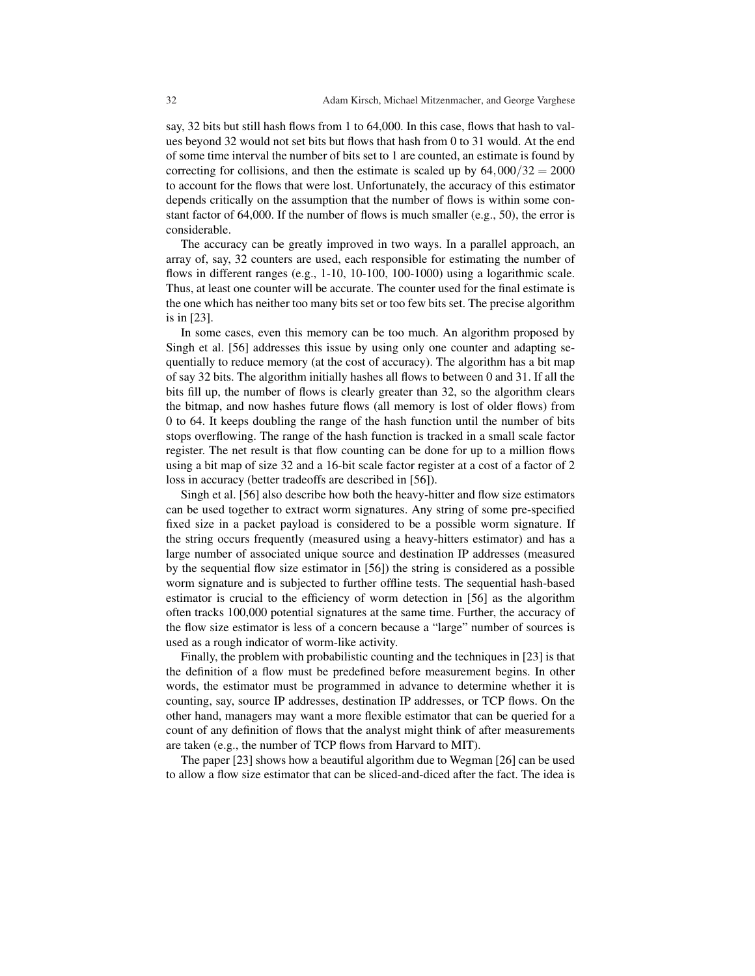say, 32 bits but still hash flows from 1 to 64,000. In this case, flows that hash to values beyond 32 would not set bits but flows that hash from 0 to 31 would. At the end of some time interval the number of bits set to 1 are counted, an estimate is found by correcting for collisions, and then the estimate is scaled up by  $64,000/32 = 2000$ to account for the flows that were lost. Unfortunately, the accuracy of this estimator depends critically on the assumption that the number of flows is within some constant factor of 64,000. If the number of flows is much smaller (e.g., 50), the error is considerable.

The accuracy can be greatly improved in two ways. In a parallel approach, an array of, say, 32 counters are used, each responsible for estimating the number of flows in different ranges (e.g., 1-10, 10-100, 100-1000) using a logarithmic scale. Thus, at least one counter will be accurate. The counter used for the final estimate is the one which has neither too many bits set or too few bits set. The precise algorithm is in [23].

In some cases, even this memory can be too much. An algorithm proposed by Singh et al. [56] addresses this issue by using only one counter and adapting sequentially to reduce memory (at the cost of accuracy). The algorithm has a bit map of say 32 bits. The algorithm initially hashes all flows to between 0 and 31. If all the bits fill up, the number of flows is clearly greater than 32, so the algorithm clears the bitmap, and now hashes future flows (all memory is lost of older flows) from 0 to 64. It keeps doubling the range of the hash function until the number of bits stops overflowing. The range of the hash function is tracked in a small scale factor register. The net result is that flow counting can be done for up to a million flows using a bit map of size 32 and a 16-bit scale factor register at a cost of a factor of 2 loss in accuracy (better tradeoffs are described in [56]).

Singh et al. [56] also describe how both the heavy-hitter and flow size estimators can be used together to extract worm signatures. Any string of some pre-specified fixed size in a packet payload is considered to be a possible worm signature. If the string occurs frequently (measured using a heavy-hitters estimator) and has a large number of associated unique source and destination IP addresses (measured by the sequential flow size estimator in [56]) the string is considered as a possible worm signature and is subjected to further offline tests. The sequential hash-based estimator is crucial to the efficiency of worm detection in [56] as the algorithm often tracks 100,000 potential signatures at the same time. Further, the accuracy of the flow size estimator is less of a concern because a "large" number of sources is used as a rough indicator of worm-like activity.

Finally, the problem with probabilistic counting and the techniques in [23] is that the definition of a flow must be predefined before measurement begins. In other words, the estimator must be programmed in advance to determine whether it is counting, say, source IP addresses, destination IP addresses, or TCP flows. On the other hand, managers may want a more flexible estimator that can be queried for a count of any definition of flows that the analyst might think of after measurements are taken (e.g., the number of TCP flows from Harvard to MIT).

The paper [23] shows how a beautiful algorithm due to Wegman [26] can be used to allow a flow size estimator that can be sliced-and-diced after the fact. The idea is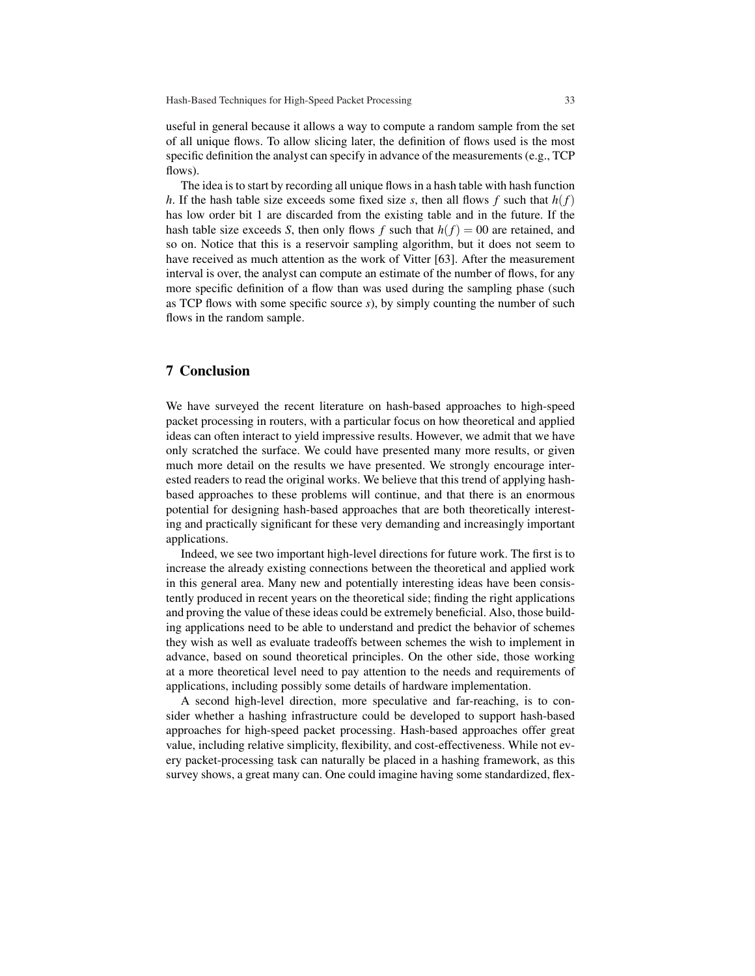useful in general because it allows a way to compute a random sample from the set of all unique flows. To allow slicing later, the definition of flows used is the most specific definition the analyst can specify in advance of the measurements (e.g., TCP flows).

The idea is to start by recording all unique flows in a hash table with hash function *h*. If the hash table size exceeds some fixed size *s*, then all flows *f* such that  $h(f)$ has low order bit 1 are discarded from the existing table and in the future. If the hash table size exceeds *S*, then only flows *f* such that  $h(f) = 00$  are retained, and so on. Notice that this is a reservoir sampling algorithm, but it does not seem to have received as much attention as the work of Vitter [63]. After the measurement interval is over, the analyst can compute an estimate of the number of flows, for any more specific definition of a flow than was used during the sampling phase (such as TCP flows with some specific source *s*), by simply counting the number of such flows in the random sample.

#### 7 Conclusion

We have surveyed the recent literature on hash-based approaches to high-speed packet processing in routers, with a particular focus on how theoretical and applied ideas can often interact to yield impressive results. However, we admit that we have only scratched the surface. We could have presented many more results, or given much more detail on the results we have presented. We strongly encourage interested readers to read the original works. We believe that this trend of applying hashbased approaches to these problems will continue, and that there is an enormous potential for designing hash-based approaches that are both theoretically interesting and practically significant for these very demanding and increasingly important applications.

Indeed, we see two important high-level directions for future work. The first is to increase the already existing connections between the theoretical and applied work in this general area. Many new and potentially interesting ideas have been consistently produced in recent years on the theoretical side; finding the right applications and proving the value of these ideas could be extremely beneficial. Also, those building applications need to be able to understand and predict the behavior of schemes they wish as well as evaluate tradeoffs between schemes the wish to implement in advance, based on sound theoretical principles. On the other side, those working at a more theoretical level need to pay attention to the needs and requirements of applications, including possibly some details of hardware implementation.

A second high-level direction, more speculative and far-reaching, is to consider whether a hashing infrastructure could be developed to support hash-based approaches for high-speed packet processing. Hash-based approaches offer great value, including relative simplicity, flexibility, and cost-effectiveness. While not every packet-processing task can naturally be placed in a hashing framework, as this survey shows, a great many can. One could imagine having some standardized, flex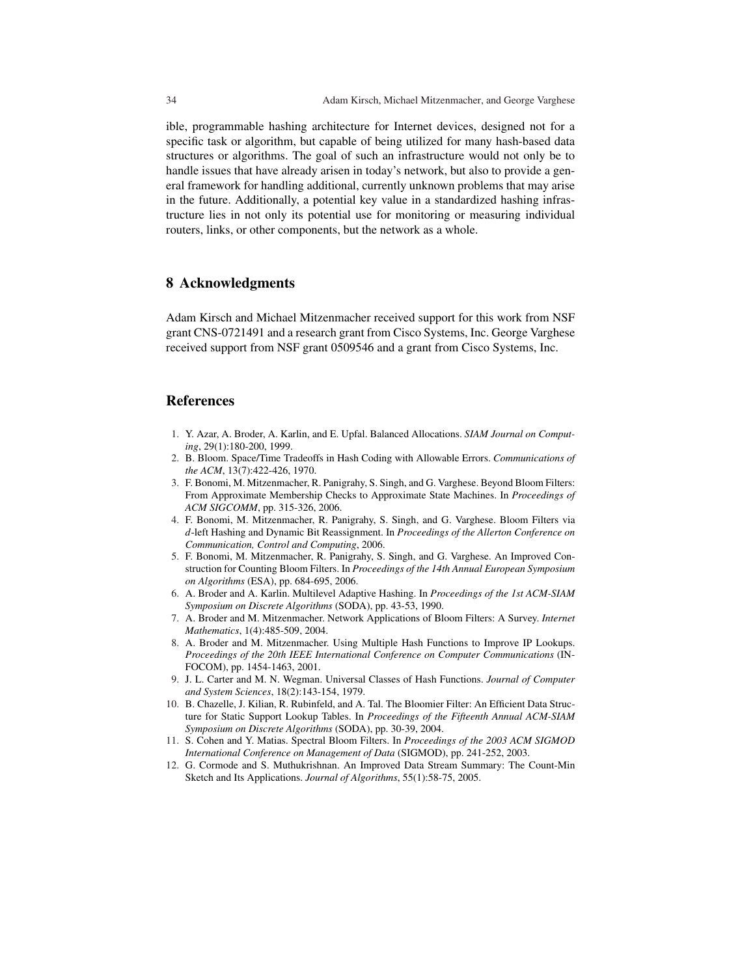ible, programmable hashing architecture for Internet devices, designed not for a specific task or algorithm, but capable of being utilized for many hash-based data structures or algorithms. The goal of such an infrastructure would not only be to handle issues that have already arisen in today's network, but also to provide a general framework for handling additional, currently unknown problems that may arise in the future. Additionally, a potential key value in a standardized hashing infrastructure lies in not only its potential use for monitoring or measuring individual routers, links, or other components, but the network as a whole.

### 8 Acknowledgments

Adam Kirsch and Michael Mitzenmacher received support for this work from NSF grant CNS-0721491 and a research grant from Cisco Systems, Inc. George Varghese received support from NSF grant 0509546 and a grant from Cisco Systems, Inc.

#### References

- 1. Y. Azar, A. Broder, A. Karlin, and E. Upfal. Balanced Allocations. *SIAM Journal on Computing*, 29(1):180-200, 1999.
- 2. B. Bloom. Space/Time Tradeoffs in Hash Coding with Allowable Errors. *Communications of the ACM*, 13(7):422-426, 1970.
- 3. F. Bonomi, M. Mitzenmacher, R. Panigrahy, S. Singh, and G. Varghese. Beyond Bloom Filters: From Approximate Membership Checks to Approximate State Machines. In *Proceedings of ACM SIGCOMM*, pp. 315-326, 2006.
- 4. F. Bonomi, M. Mitzenmacher, R. Panigrahy, S. Singh, and G. Varghese. Bloom Filters via *d*-left Hashing and Dynamic Bit Reassignment. In *Proceedings of the Allerton Conference on Communication, Control and Computing*, 2006.
- 5. F. Bonomi, M. Mitzenmacher, R. Panigrahy, S. Singh, and G. Varghese. An Improved Construction for Counting Bloom Filters. In *Proceedings of the 14th Annual European Symposium on Algorithms* (ESA), pp. 684-695, 2006.
- 6. A. Broder and A. Karlin. Multilevel Adaptive Hashing. In *Proceedings of the 1st ACM-SIAM Symposium on Discrete Algorithms* (SODA), pp. 43-53, 1990.
- 7. A. Broder and M. Mitzenmacher. Network Applications of Bloom Filters: A Survey. *Internet Mathematics*, 1(4):485-509, 2004.
- 8. A. Broder and M. Mitzenmacher. Using Multiple Hash Functions to Improve IP Lookups. *Proceedings of the 20th IEEE International Conference on Computer Communications* (IN-FOCOM), pp. 1454-1463, 2001.
- 9. J. L. Carter and M. N. Wegman. Universal Classes of Hash Functions. *Journal of Computer and System Sciences*, 18(2):143-154, 1979.
- 10. B. Chazelle, J. Kilian, R. Rubinfeld, and A. Tal. The Bloomier Filter: An Efficient Data Structure for Static Support Lookup Tables. In *Proceedings of the Fifteenth Annual ACM-SIAM Symposium on Discrete Algorithms* (SODA), pp. 30-39, 2004.
- 11. S. Cohen and Y. Matias. Spectral Bloom Filters. In *Proceedings of the 2003 ACM SIGMOD International Conference on Management of Data* (SIGMOD), pp. 241-252, 2003.
- 12. G. Cormode and S. Muthukrishnan. An Improved Data Stream Summary: The Count-Min Sketch and Its Applications. *Journal of Algorithms*, 55(1):58-75, 2005.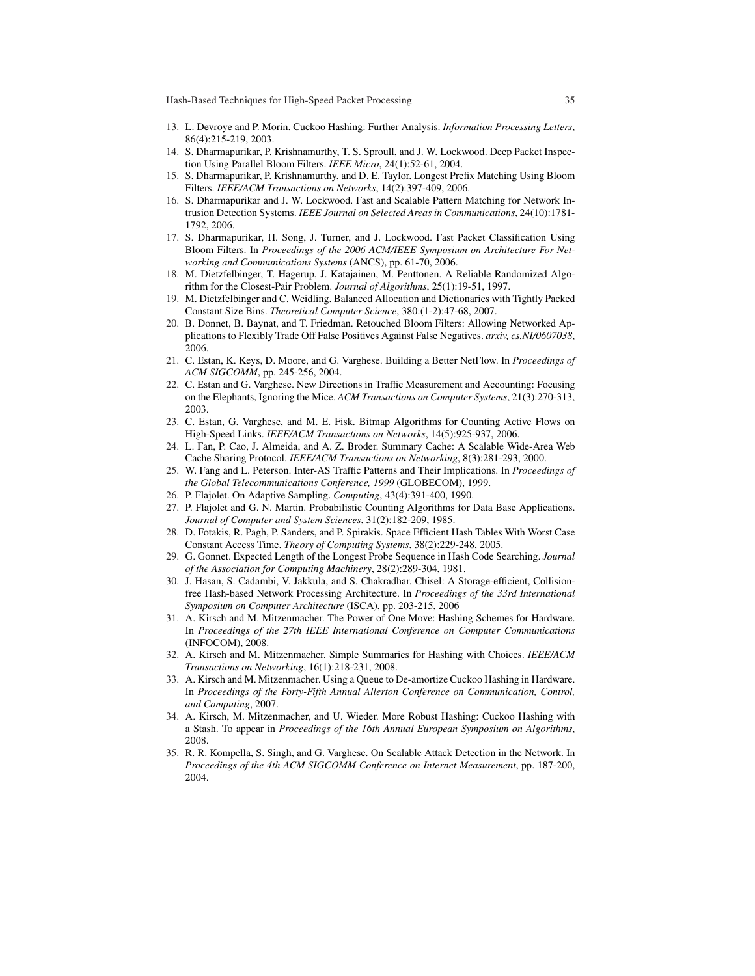Hash-Based Techniques for High-Speed Packet Processing 35

- 13. L. Devroye and P. Morin. Cuckoo Hashing: Further Analysis. *Information Processing Letters*, 86(4):215-219, 2003.
- 14. S. Dharmapurikar, P. Krishnamurthy, T. S. Sproull, and J. W. Lockwood. Deep Packet Inspection Using Parallel Bloom Filters. *IEEE Micro*, 24(1):52-61, 2004.
- 15. S. Dharmapurikar, P. Krishnamurthy, and D. E. Taylor. Longest Prefix Matching Using Bloom Filters. *IEEE/ACM Transactions on Networks*, 14(2):397-409, 2006.
- 16. S. Dharmapurikar and J. W. Lockwood. Fast and Scalable Pattern Matching for Network Intrusion Detection Systems. *IEEE Journal on Selected Areas in Communications*, 24(10):1781- 1792, 2006.
- 17. S. Dharmapurikar, H. Song, J. Turner, and J. Lockwood. Fast Packet Classification Using Bloom Filters. In *Proceedings of the 2006 ACM/IEEE Symposium on Architecture For Networking and Communications Systems* (ANCS), pp. 61-70, 2006.
- 18. M. Dietzfelbinger, T. Hagerup, J. Katajainen, M. Penttonen. A Reliable Randomized Algorithm for the Closest-Pair Problem. *Journal of Algorithms*, 25(1):19-51, 1997.
- 19. M. Dietzfelbinger and C. Weidling. Balanced Allocation and Dictionaries with Tightly Packed Constant Size Bins. *Theoretical Computer Science*, 380:(1-2):47-68, 2007.
- 20. B. Donnet, B. Baynat, and T. Friedman. Retouched Bloom Filters: Allowing Networked Applications to Flexibly Trade Off False Positives Against False Negatives. *arxiv, cs.NI/0607038*, 2006.
- 21. C. Estan, K. Keys, D. Moore, and G. Varghese. Building a Better NetFlow. In *Proceedings of ACM SIGCOMM*, pp. 245-256, 2004.
- 22. C. Estan and G. Varghese. New Directions in Traffic Measurement and Accounting: Focusing on the Elephants, Ignoring the Mice. *ACM Transactions on Computer Systems*, 21(3):270-313, 2003.
- 23. C. Estan, G. Varghese, and M. E. Fisk. Bitmap Algorithms for Counting Active Flows on High-Speed Links. *IEEE/ACM Transactions on Networks*, 14(5):925-937, 2006.
- 24. L. Fan, P. Cao, J. Almeida, and A. Z. Broder. Summary Cache: A Scalable Wide-Area Web Cache Sharing Protocol. *IEEE/ACM Transactions on Networking*, 8(3):281-293, 2000.
- 25. W. Fang and L. Peterson. Inter-AS Traffic Patterns and Their Implications. In *Proceedings of the Global Telecommunications Conference, 1999* (GLOBECOM), 1999.
- 26. P. Flajolet. On Adaptive Sampling. *Computing*, 43(4):391-400, 1990.
- 27. P. Flajolet and G. N. Martin. Probabilistic Counting Algorithms for Data Base Applications. *Journal of Computer and System Sciences*, 31(2):182-209, 1985.
- 28. D. Fotakis, R. Pagh, P. Sanders, and P. Spirakis. Space Efficient Hash Tables With Worst Case Constant Access Time. *Theory of Computing Systems*, 38(2):229-248, 2005.
- 29. G. Gonnet. Expected Length of the Longest Probe Sequence in Hash Code Searching. *Journal of the Association for Computing Machinery*, 28(2):289-304, 1981.
- 30. J. Hasan, S. Cadambi, V. Jakkula, and S. Chakradhar. Chisel: A Storage-efficient, Collisionfree Hash-based Network Processing Architecture. In *Proceedings of the 33rd International Symposium on Computer Architecture* (ISCA), pp. 203-215, 2006
- 31. A. Kirsch and M. Mitzenmacher. The Power of One Move: Hashing Schemes for Hardware. In *Proceedings of the 27th IEEE International Conference on Computer Communications* (INFOCOM), 2008.
- 32. A. Kirsch and M. Mitzenmacher. Simple Summaries for Hashing with Choices. *IEEE/ACM Transactions on Networking*, 16(1):218-231, 2008.
- 33. A. Kirsch and M. Mitzenmacher. Using a Queue to De-amortize Cuckoo Hashing in Hardware. In *Proceedings of the Forty-Fifth Annual Allerton Conference on Communication, Control, and Computing*, 2007.
- 34. A. Kirsch, M. Mitzenmacher, and U. Wieder. More Robust Hashing: Cuckoo Hashing with a Stash. To appear in *Proceedings of the 16th Annual European Symposium on Algorithms*, 2008.
- 35. R. R. Kompella, S. Singh, and G. Varghese. On Scalable Attack Detection in the Network. In *Proceedings of the 4th ACM SIGCOMM Conference on Internet Measurement*, pp. 187-200, 2004.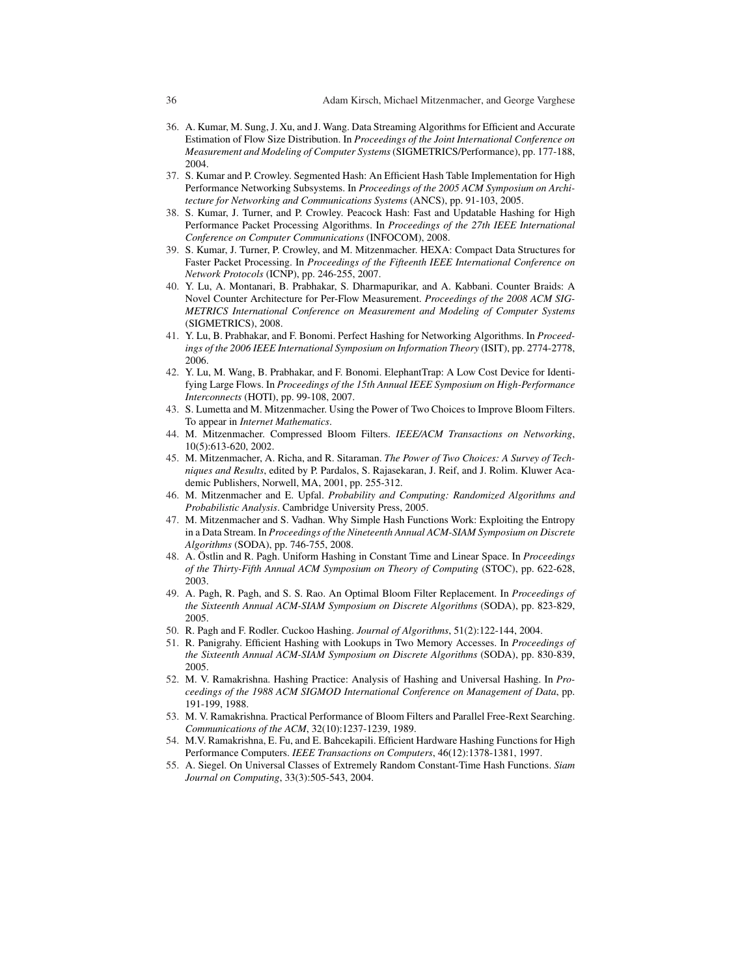- 36. A. Kumar, M. Sung, J. Xu, and J. Wang. Data Streaming Algorithms for Efficient and Accurate Estimation of Flow Size Distribution. In *Proceedings of the Joint International Conference on Measurement and Modeling of Computer Systems*(SIGMETRICS/Performance), pp. 177-188, 2004.
- 37. S. Kumar and P. Crowley. Segmented Hash: An Efficient Hash Table Implementation for High Performance Networking Subsystems. In *Proceedings of the 2005 ACM Symposium on Architecture for Networking and Communications Systems* (ANCS), pp. 91-103, 2005.
- 38. S. Kumar, J. Turner, and P. Crowley. Peacock Hash: Fast and Updatable Hashing for High Performance Packet Processing Algorithms. In *Proceedings of the 27th IEEE International Conference on Computer Communications* (INFOCOM), 2008.
- 39. S. Kumar, J. Turner, P. Crowley, and M. Mitzenmacher. HEXA: Compact Data Structures for Faster Packet Processing. In *Proceedings of the Fifteenth IEEE International Conference on Network Protocols* (ICNP), pp. 246-255, 2007.
- 40. Y. Lu, A. Montanari, B. Prabhakar, S. Dharmapurikar, and A. Kabbani. Counter Braids: A Novel Counter Architecture for Per-Flow Measurement. *Proceedings of the 2008 ACM SIG-METRICS International Conference on Measurement and Modeling of Computer Systems* (SIGMETRICS), 2008.
- 41. Y. Lu, B. Prabhakar, and F. Bonomi. Perfect Hashing for Networking Algorithms. In *Proceedings of the 2006 IEEE International Symposium on Information Theory* (ISIT), pp. 2774-2778, 2006.
- 42. Y. Lu, M. Wang, B. Prabhakar, and F. Bonomi. ElephantTrap: A Low Cost Device for Identifying Large Flows. In *Proceedings of the 15th Annual IEEE Symposium on High-Performance Interconnects* (HOTI), pp. 99-108, 2007.
- 43. S. Lumetta and M. Mitzenmacher. Using the Power of Two Choices to Improve Bloom Filters. To appear in *Internet Mathematics*.
- 44. M. Mitzenmacher. Compressed Bloom Filters. *IEEE/ACM Transactions on Networking*, 10(5):613-620, 2002.
- 45. M. Mitzenmacher, A. Richa, and R. Sitaraman. *The Power of Two Choices: A Survey of Techniques and Results*, edited by P. Pardalos, S. Rajasekaran, J. Reif, and J. Rolim. Kluwer Academic Publishers, Norwell, MA, 2001, pp. 255-312.
- 46. M. Mitzenmacher and E. Upfal. *Probability and Computing: Randomized Algorithms and Probabilistic Analysis*. Cambridge University Press, 2005.
- 47. M. Mitzenmacher and S. Vadhan. Why Simple Hash Functions Work: Exploiting the Entropy in a Data Stream. In *Proceedings of the Nineteenth Annual ACM-SIAM Symposium on Discrete Algorithms* (SODA), pp. 746-755, 2008.
- 48. A. Östlin and R. Pagh. Uniform Hashing in Constant Time and Linear Space. In *Proceedings of the Thirty-Fifth Annual ACM Symposium on Theory of Computing* (STOC), pp. 622-628, 2003.
- 49. A. Pagh, R. Pagh, and S. S. Rao. An Optimal Bloom Filter Replacement. In *Proceedings of the Sixteenth Annual ACM-SIAM Symposium on Discrete Algorithms* (SODA), pp. 823-829, 2005.
- 50. R. Pagh and F. Rodler. Cuckoo Hashing. *Journal of Algorithms*, 51(2):122-144, 2004.
- 51. R. Panigrahy. Efficient Hashing with Lookups in Two Memory Accesses. In *Proceedings of the Sixteenth Annual ACM-SIAM Symposium on Discrete Algorithms* (SODA), pp. 830-839, 2005.
- 52. M. V. Ramakrishna. Hashing Practice: Analysis of Hashing and Universal Hashing. In *Proceedings of the 1988 ACM SIGMOD International Conference on Management of Data*, pp. 191-199, 1988.
- 53. M. V. Ramakrishna. Practical Performance of Bloom Filters and Parallel Free-Rext Searching. *Communications of the ACM*, 32(10):1237-1239, 1989.
- 54. M.V. Ramakrishna, E. Fu, and E. Bahcekapili. Efficient Hardware Hashing Functions for High Performance Computers. *IEEE Transactions on Computers*, 46(12):1378-1381, 1997.
- 55. A. Siegel. On Universal Classes of Extremely Random Constant-Time Hash Functions. *Siam Journal on Computing*, 33(3):505-543, 2004.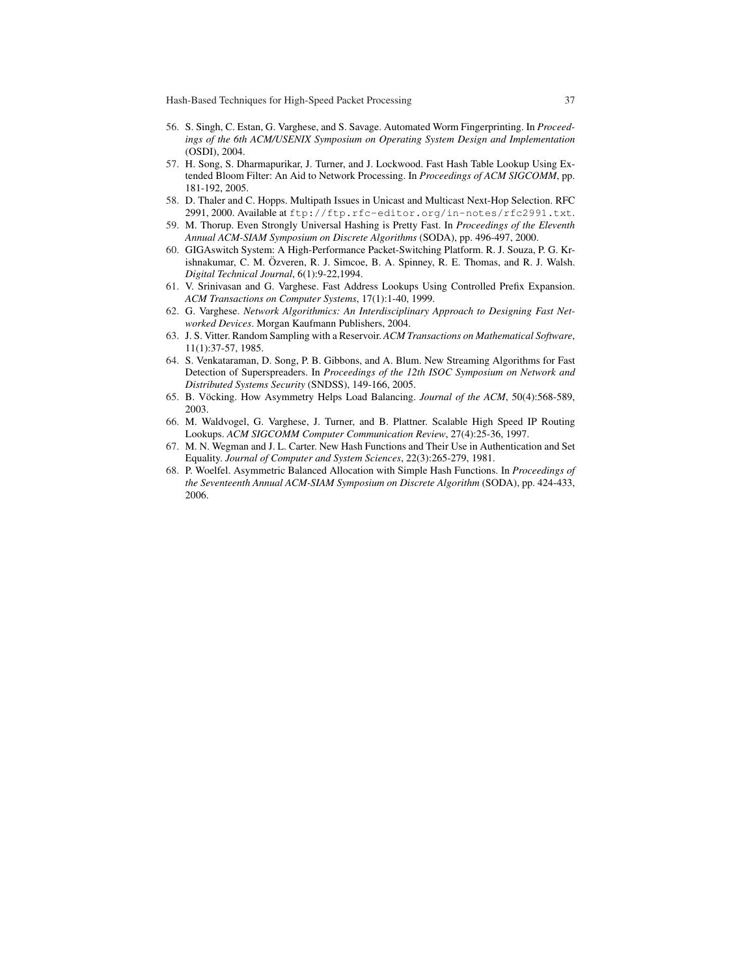Hash-Based Techniques for High-Speed Packet Processing 37

- 56. S. Singh, C. Estan, G. Varghese, and S. Savage. Automated Worm Fingerprinting. In *Proceedings of the 6th ACM/USENIX Symposium on Operating System Design and Implementation* (OSDI), 2004.
- 57. H. Song, S. Dharmapurikar, J. Turner, and J. Lockwood. Fast Hash Table Lookup Using Extended Bloom Filter: An Aid to Network Processing. In *Proceedings of ACM SIGCOMM*, pp. 181-192, 2005.
- 58. D. Thaler and C. Hopps. Multipath Issues in Unicast and Multicast Next-Hop Selection. RFC 2991, 2000. Available at ftp://ftp.rfc-editor.org/in-notes/rfc2991.txt.
- 59. M. Thorup. Even Strongly Universal Hashing is Pretty Fast. In *Proceedings of the Eleventh Annual ACM-SIAM Symposium on Discrete Algorithms* (SODA), pp. 496-497, 2000.
- 60. GIGAswitch System: A High-Performance Packet-Switching Platform. R. J. Souza, P. G. Krishnakumar, C. M. Ozveren, R. J. Simcoe, B. A. Spinney, R. E. Thomas, and R. J. Walsh. ¨ *Digital Technical Journal*, 6(1):9-22,1994.
- 61. V. Srinivasan and G. Varghese. Fast Address Lookups Using Controlled Prefix Expansion. *ACM Transactions on Computer Systems*, 17(1):1-40, 1999.
- 62. G. Varghese. *Network Algorithmics: An Interdisciplinary Approach to Designing Fast Networked Devices*. Morgan Kaufmann Publishers, 2004.
- 63. J. S. Vitter. Random Sampling with a Reservoir. *ACM Transactions on Mathematical Software*, 11(1):37-57, 1985.
- 64. S. Venkataraman, D. Song, P. B. Gibbons, and A. Blum. New Streaming Algorithms for Fast Detection of Superspreaders. In *Proceedings of the 12th ISOC Symposium on Network and Distributed Systems Security* (SNDSS), 149-166, 2005.
- 65. B. Vöcking. How Asymmetry Helps Load Balancing. *Journal of the ACM*, 50(4):568-589, 2003.
- 66. M. Waldvogel, G. Varghese, J. Turner, and B. Plattner. Scalable High Speed IP Routing Lookups. *ACM SIGCOMM Computer Communication Review*, 27(4):25-36, 1997.
- 67. M. N. Wegman and J. L. Carter. New Hash Functions and Their Use in Authentication and Set Equality. *Journal of Computer and System Sciences*, 22(3):265-279, 1981.
- 68. P. Woelfel. Asymmetric Balanced Allocation with Simple Hash Functions. In *Proceedings of the Seventeenth Annual ACM-SIAM Symposium on Discrete Algorithm* (SODA), pp. 424-433, 2006.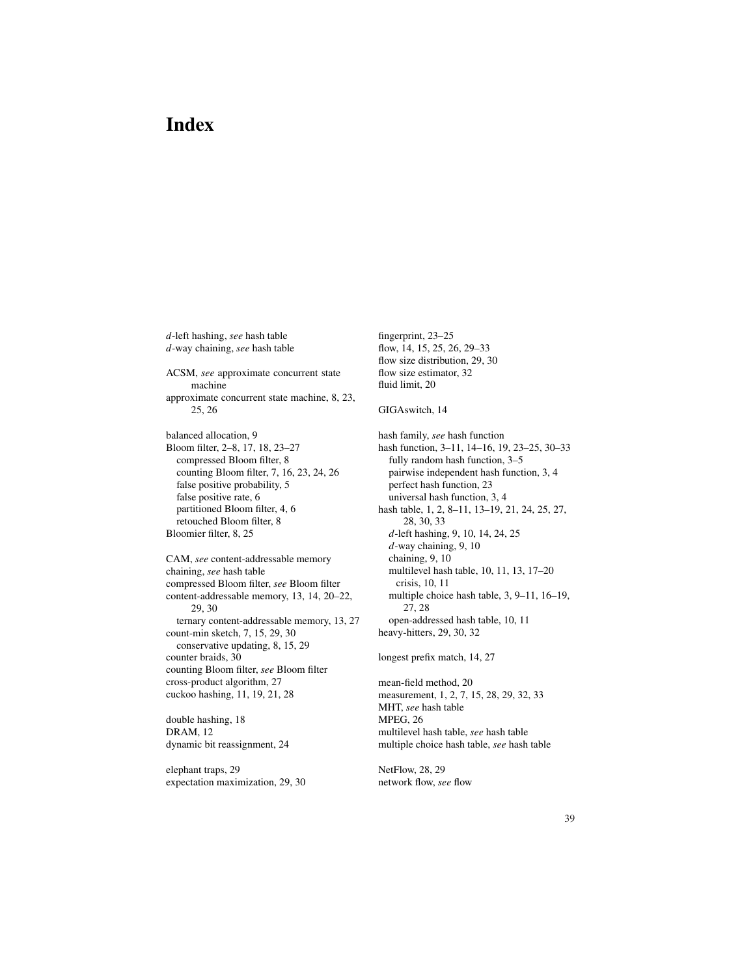# Index

*d*-left hashing, *see* hash table *d*-way chaining, *see* hash table

ACSM, *see* approximate concurrent state machine approximate concurrent state machine, 8, 23, 25, 26

balanced allocation, 9 Bloom filter, 2–8, 17, 18, 23–27 compressed Bloom filter, 8 counting Bloom filter, 7, 16, 23, 24, 26 false positive probability, 5 false positive rate, 6 partitioned Bloom filter, 4, 6 retouched Bloom filter, 8 Bloomier filter, 8, 25

CAM, *see* content-addressable memory chaining, *see* hash table compressed Bloom filter, *see* Bloom filter content-addressable memory, 13, 14, 20–22, 29, 30 ternary content-addressable memory, 13, 27 count-min sketch, 7, 15, 29, 30 conservative updating, 8, 15, 29 counter braids, 30 counting Bloom filter, *see* Bloom filter cross-product algorithm, 27 cuckoo hashing, 11, 19, 21, 28

double hashing, 18 DRAM, 12 dynamic bit reassignment, 24

elephant traps, 29 expectation maximization, 29, 30 fingerprint, 23–25 flow, 14, 15, 25, 26, 29–33 flow size distribution, 29, 30 flow size estimator, 32 fluid limit, 20

#### GIGAswitch, 14

hash family, *see* hash function hash function, 3–11, 14–16, 19, 23–25, 30–33 fully random hash function, 3–5 pairwise independent hash function, 3, 4 perfect hash function, 23 universal hash function, 3, 4 hash table, 1, 2, 8–11, 13–19, 21, 24, 25, 27, 28, 30, 33 *d*-left hashing, 9, 10, 14, 24, 25 *d*-way chaining, 9, 10 chaining, 9, 10 multilevel hash table, 10, 11, 13, 17–20 crisis, 10, 11 multiple choice hash table, 3, 9–11, 16–19, 27, 28 open-addressed hash table, 10, 11 heavy-hitters, 29, 30, 32

longest prefix match, 14, 27

mean-field method, 20 measurement, 1, 2, 7, 15, 28, 29, 32, 33 MHT, *see* hash table MPEG, 26 multilevel hash table, *see* hash table multiple choice hash table, *see* hash table

NetFlow, 28, 29 network flow, *see* flow